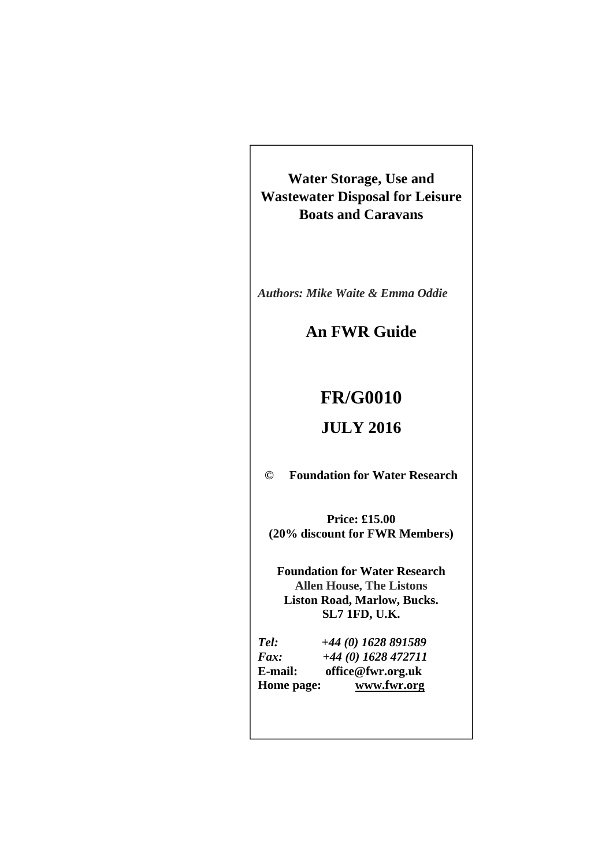**Water Storage, Use and Wastewater Disposal for Leisure Boats and Caravans** 

*Authors: Mike Waite & Emma Oddie* 

## **An FWR Guide**

## **FR/G0010**

## **JULY 2016**

**© Foundation for Water Research** 

**Price: £15.00 (20% discount for FWR Members)** 

**Foundation for Water Research Allen House, The Listons Liston Road, Marlow, Bucks. SL7 1FD, U.K.** 

| Tel:       | +44 (0) 1628 891589  |
|------------|----------------------|
| Fax:       | $+44(0)$ 1628 472711 |
| E-mail:    | office@fwr.org.uk    |
| Home page: | www.fwr.org          |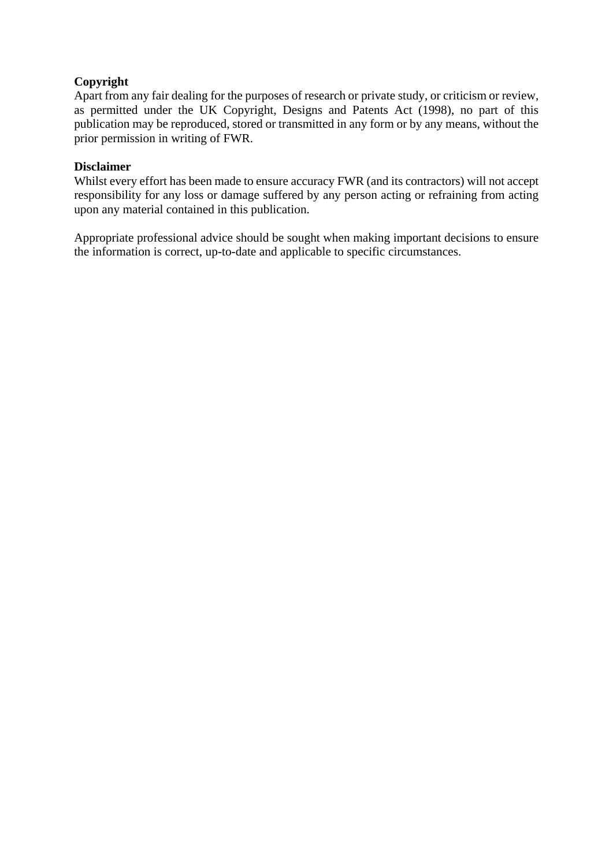### **Copyright**

Apart from any fair dealing for the purposes of research or private study, or criticism or review, as permitted under the UK Copyright, Designs and Patents Act (1998), no part of this publication may be reproduced, stored or transmitted in any form or by any means, without the prior permission in writing of FWR.

#### **Disclaimer**

Whilst every effort has been made to ensure accuracy FWR (and its contractors) will not accept responsibility for any loss or damage suffered by any person acting or refraining from acting upon any material contained in this publication.

Appropriate professional advice should be sought when making important decisions to ensure the information is correct, up-to-date and applicable to specific circumstances.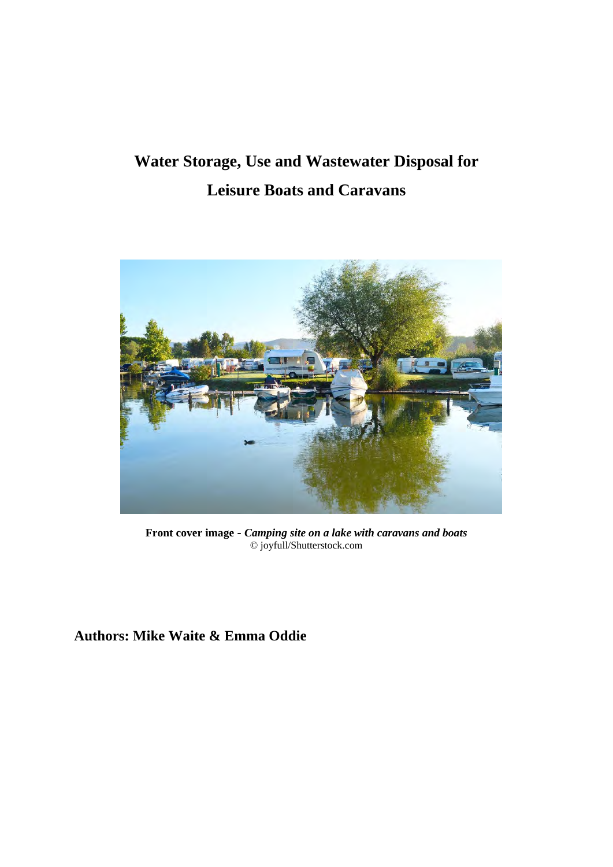# **Water Storage, Use and Wastewater Disposal for Leisure Boats and Caravans**



**Front cover image -** *Camping site on a lake with caravans and boats*  © joyfull/Shutterstock.com

**Authors: Mike Waite & Emma Oddie**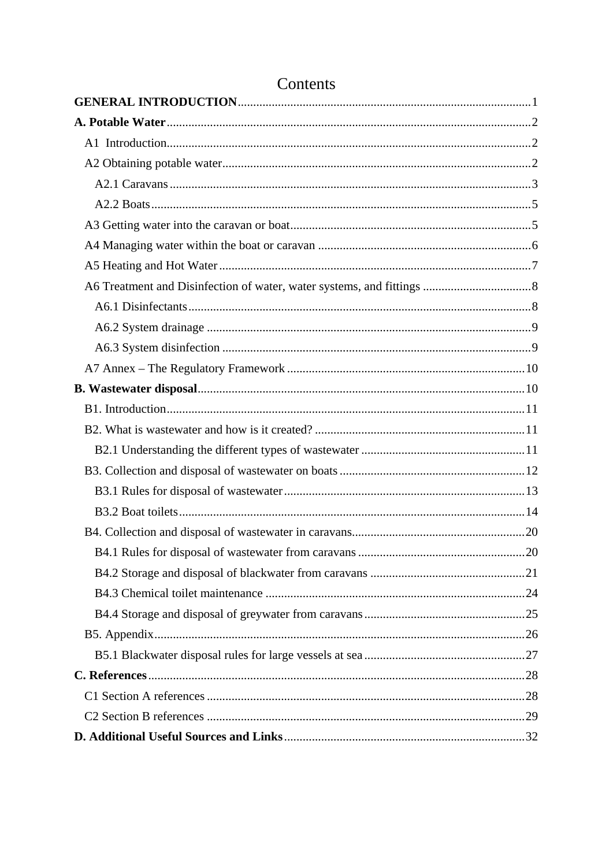| Contents |  |  |
|----------|--|--|
|          |  |  |
|          |  |  |
|          |  |  |
|          |  |  |
|          |  |  |
|          |  |  |
|          |  |  |
|          |  |  |
|          |  |  |
|          |  |  |
|          |  |  |
|          |  |  |
|          |  |  |
|          |  |  |
|          |  |  |
|          |  |  |
|          |  |  |
|          |  |  |
|          |  |  |
|          |  |  |
|          |  |  |
|          |  |  |
|          |  |  |
|          |  |  |
|          |  |  |
|          |  |  |
|          |  |  |
|          |  |  |
|          |  |  |
|          |  |  |
|          |  |  |
|          |  |  |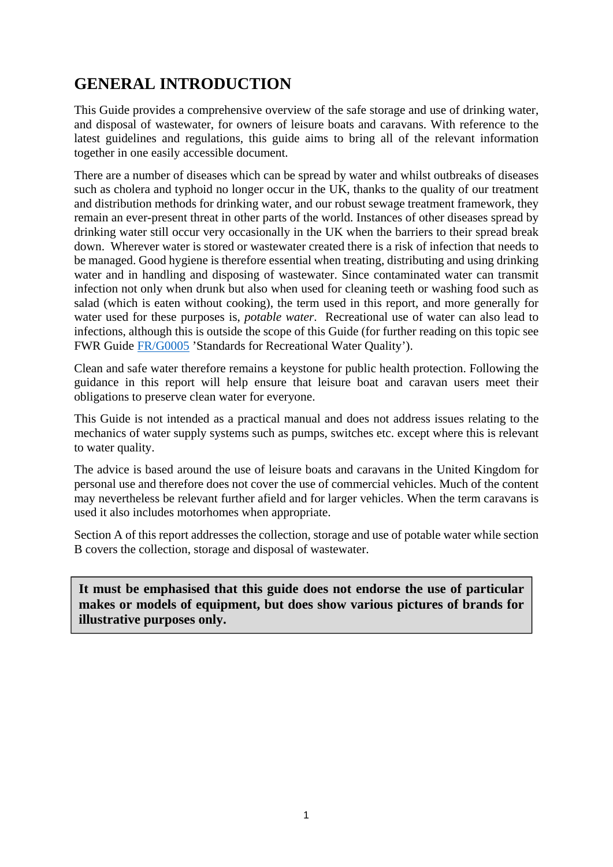## **GENERAL INTRODUCTION**

This Guide provides a comprehensive overview of the safe storage and use of drinking water, and disposal of wastewater, for owners of leisure boats and caravans. With reference to the latest guidelines and regulations, this guide aims to bring all of the relevant information together in one easily accessible document.

There are a number of diseases which can be spread by water and whilst outbreaks of diseases such as cholera and typhoid no longer occur in the UK, thanks to the quality of our treatment and distribution methods for drinking water, and our robust sewage treatment framework, they remain an ever-present threat in other parts of the world. Instances of other diseases spread by drinking water still occur very occasionally in the UK when the barriers to their spread break down. Wherever water is stored or wastewater created there is a risk of infection that needs to be managed. Good hygiene is therefore essential when treating, distributing and using drinking water and in handling and disposing of wastewater. Since contaminated water can transmit infection not only when drunk but also when used for cleaning teeth or washing food such as salad (which is eaten without cooking), the term used in this report, and more generally for water used for these purposes is, *potable water*. Recreational use of water can also lead to infections, although this is outside the scope of this Guide (for further reading on this topic see FWR Guide [FR/G0005](http://www.fwr.org/environw/frg0005.pdf) 'Standards for Recreational Water Quality').

Clean and safe water therefore remains a keystone for public health protection. Following the guidance in this report will help ensure that leisure boat and caravan users meet their obligations to preserve clean water for everyone.

This Guide is not intended as a practical manual and does not address issues relating to the mechanics of water supply systems such as pumps, switches etc. except where this is relevant to water quality.

The advice is based around the use of leisure boats and caravans in the United Kingdom for personal use and therefore does not cover the use of commercial vehicles. Much of the content may nevertheless be relevant further afield and for larger vehicles. When the term caravans is used it also includes motorhomes when appropriate.

Section A of this report addresses the collection, storage and use of potable water while section B covers the collection, storage and disposal of wastewater.

**It must be emphasised that this guide does not endorse the use of particular makes or models of equipment, but does show various pictures of brands for illustrative purposes only.**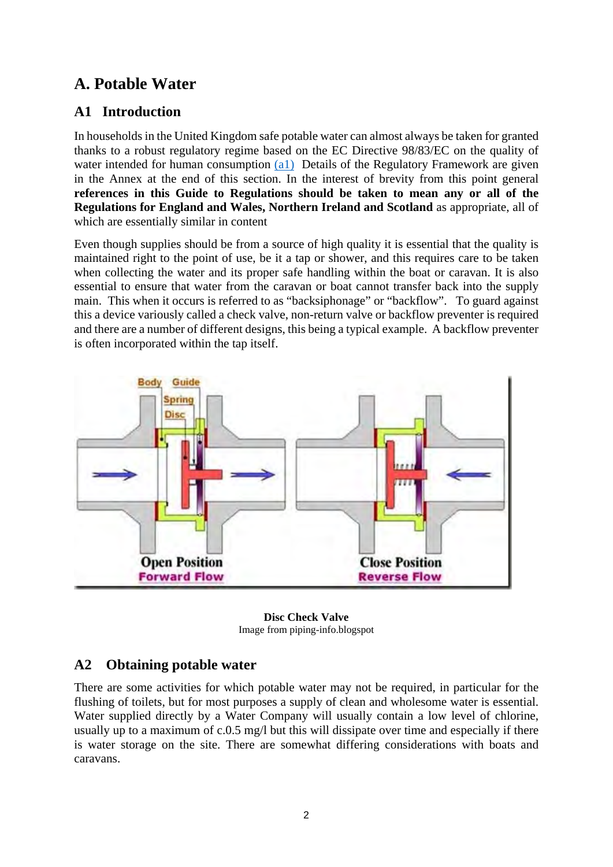## **A. Potable Water**

## **A1 Introduction**

In households in the United Kingdom safe potable water can almost always be taken for granted thanks to a robust regulatory regime based on the EC Directive 98/83/EC on the quality of water intended for human consumption  $(a1)$  Details of the Regulatory Framework are given in the Annex at the end of this section. In the interest of brevity from this point general **references in this Guide to Regulations should be taken to mean any or all of the Regulations for England and Wales, Northern Ireland and Scotland** as appropriate, all of which are essentially similar in content

Even though supplies should be from a source of high quality it is essential that the quality is maintained right to the point of use, be it a tap or shower, and this requires care to be taken when collecting the water and its proper safe handling within the boat or caravan. It is also essential to ensure that water from the caravan or boat cannot transfer back into the supply main. This when it occurs is referred to as "backsiphonage" or "backflow". To guard against this a device variously called a check valve, non-return valve or backflow preventer is required and there are a number of different designs, this being a typical example. A backflow preventer is often incorporated within the tap itself.



**Disc Check Valve**  Image from piping-info.blogspot

## **A2 Obtaining potable water**

There are some activities for which potable water may not be required, in particular for the flushing of toilets, but for most purposes a supply of clean and wholesome water is essential. Water supplied directly by a Water Company will usually contain a low level of chlorine, usually up to a maximum of c.0.5 mg/l but this will dissipate over time and especially if there is water storage on the site. There are somewhat differing considerations with boats and caravans.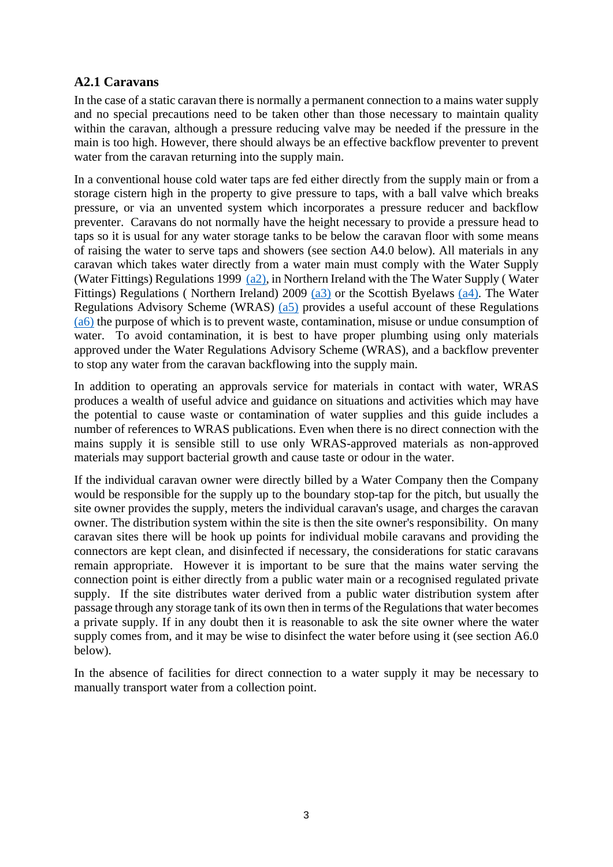#### **A2.1 Caravans**

In the case of a static caravan there is normally a permanent connection to a mains water supply and no special precautions need to be taken other than those necessary to maintain quality within the caravan, although a pressure reducing valve may be needed if the pressure in the main is too high. However, there should always be an effective backflow preventer to prevent water from the caravan returning into the supply main.

In a conventional house cold water taps are fed either directly from the supply main or from a storage cistern high in the property to give pressure to taps, with a ball valve which breaks pressure, or via an unvented system which incorporates a pressure reducer and backflow preventer. Caravans do not normally have the height necessary to provide a pressure head to taps so it is usual for any water storage tanks to be below the caravan floor with some means of raising the water to serve taps and showers (see section A4.0 below). All materials in any caravan which takes water directly from a water main must comply with the Water Supply (Water Fittings) Regulations 1999 [\(a2\),](#page-31-0) in Northern Ireland with the The Water Supply ( Water Fittings) Regulations ( Northern Ireland) 2009 [\(a3\)](#page-31-0) or the Scottish Byelaws [\(a4\).](#page-31-0) The Water Regulations Advisory Scheme (WRAS) ([a5](#page-31-0)) provides a useful account of these Regulations [\(a6\)](#page-31-0) the purpose of which is to prevent waste, contamination, misuse or undue consumption of water. To avoid contamination, it is best to have proper plumbing using only materials approved under the Water Regulations Advisory Scheme (WRAS), and a backflow preventer to stop any water from the caravan backflowing into the supply main.

In addition to operating an approvals service for materials in contact with water, WRAS produces a wealth of useful advice and guidance on situations and activities which may have the potential to cause waste or contamination of water supplies and this guide includes a number of references to WRAS publications. Even when there is no direct connection with the mains supply it is sensible still to use only WRAS-approved materials as non-approved materials may support bacterial growth and cause taste or odour in the water.

If the individual caravan owner were directly billed by a Water Company then the Company would be responsible for the supply up to the boundary stop-tap for the pitch, but usually the site owner provides the supply, meters the individual caravan's usage, and charges the caravan owner. The distribution system within the site is then the site owner's responsibility. On many caravan sites there will be hook up points for individual mobile caravans and providing the connectors are kept clean, and disinfected if necessary, the considerations for static caravans remain appropriate. However it is important to be sure that the mains water serving the connection point is either directly from a public water main or a recognised regulated private supply. If the site distributes water derived from a public water distribution system after passage through any storage tank of its own then in terms of the Regulations that water becomes a private supply. If in any doubt then it is reasonable to ask the site owner where the water supply comes from, and it may be wise to disinfect the water before using it (see section A6.0) below).

In the absence of facilities for direct connection to a water supply it may be necessary to manually transport water from a collection point.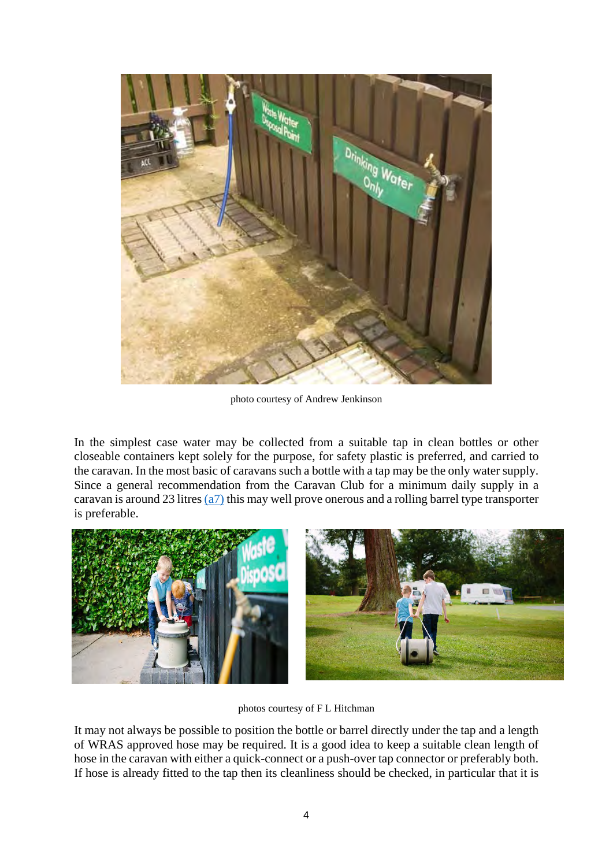

photo courtesy of Andrew Jenkinson

In the simplest case water may be collected from a suitable tap in clean bottles or other closeable containers kept solely for the purpose, for safety plastic is preferred, and carried to the caravan. In the most basic of caravans such a bottle with a tap may be the only water supply. Since a general recommendation from the Caravan Club for a minimum daily supply in a caravan is around 23 litres [\(a7\)](#page-12-0) this may well prove onerous and a rolling barrel type transporter is preferable.



photos courtesy of F L Hitchman

It may not always be possible to position the bottle or barrel directly under the tap and a length of WRAS approved hose may be required. It is a good idea to keep a suitable clean length of hose in the caravan with either a quick-connect or a push-over tap connector or preferably both. If hose is already fitted to the tap then its cleanliness should be checked, in particular that it is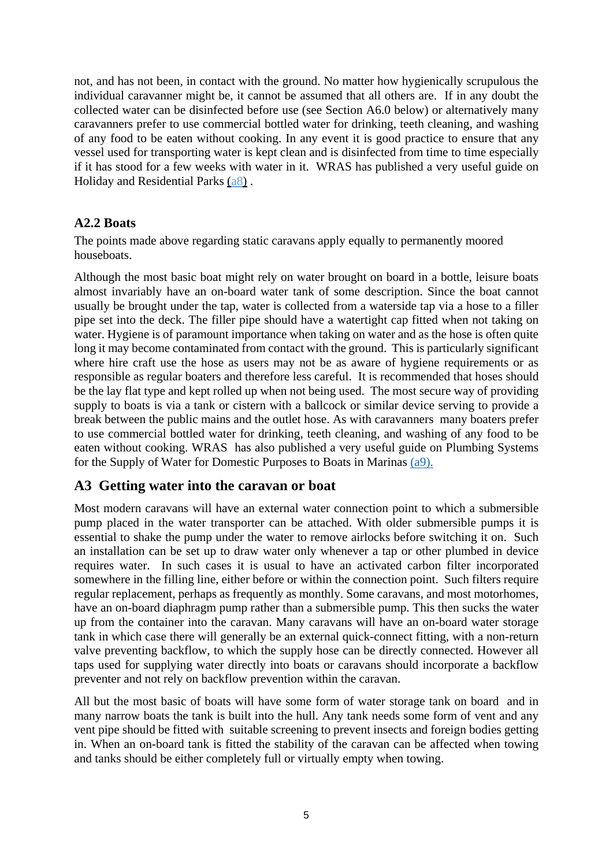not, and has not been, in contact with the ground. No matter how hygienically scrupulous the individual caravanner might be, it cannot be assumed that all others are. If in any doubt the collected water can be disinfected before use (see Section A6.0 below) or alternatively many caravanners prefer to use commercial bottled water for drinking, teeth cleaning, and washing of any food to be eaten without cooking. In any event it is good practice to ensure that any vessel used for transporting water is kept clean and is disinfected from time to time especially if it has stood for a few weeks with water in it. WRAS has published a very useful guide on Holiday and Residential Parks [\(a8\)](#page-31-0) .

### **A2.2 Boats**

The points made above regarding static caravans apply equally to permanently moored houseboats.

Although the most basic boat might rely on water brought on board in a bottle, leisure boats almost invariably have an on-board water tank of some description. Since the boat cannot usually be brought under the tap, water is collected from a waterside tap via a hose to a filler pipe set into the deck. The filler pipe should have a watertight cap fitted when not taking on water. Hygiene is of paramount importance when taking on water and as the hose is often quite long it may become contaminated from contact with the ground. This is particularly significant where hire craft use the hose as users may not be as aware of hygiene requirements or as responsible as regular boaters and therefore less careful. It is recommended that hoses should be the lay flat type and kept rolled up when not being used. The most secure way of providing supply to boats is via a tank or cistern with a ballcock or similar device serving to provide a break between the public mains and the outlet hose. As with caravanners many boaters prefer to use commercial bottled water for drinking, teeth cleaning, and washing of any food to be eaten without cooking. WRAS has also published a very useful guide on Plumbing Systems for the Supply of Water for Domestic Purposes to Boats in Marinas [\(a9\).](#page-31-0)

## **A3 Getting water into the caravan or boat**

Most modern caravans will have an external water connection point to which a submersible pump placed in the water transporter can be attached. With older submersible pumps it is essential to shake the pump under the water to remove airlocks before switching it on. Such an installation can be set up to draw water only whenever a tap or other plumbed in device requires water. In such cases it is usual to have an activated carbon filter incorporated somewhere in the filling line, either before or within the connection point. Such filters require regular replacement, perhaps as frequently as monthly. Some caravans, and most motorhomes, have an on-board diaphragm pump rather than a submersible pump. This then sucks the water up from the container into the caravan. Many caravans will have an on-board water storage tank in which case there will generally be an external quick-connect fitting, with a non-return valve preventing backflow, to which the supply hose can be directly connected. However all taps used for supplying water directly into boats or caravans should incorporate a backflow preventer and not rely on backflow prevention within the caravan.

All but the most basic of boats will have some form of water storage tank on board and in many narrow boats the tank is built into the hull. Any tank needs some form of vent and any vent pipe should be fitted with suitable screening to prevent insects and foreign bodies getting in. When an on-board tank is fitted the stability of the caravan can be affected when towing and tanks should be either completely full or virtually empty when towing.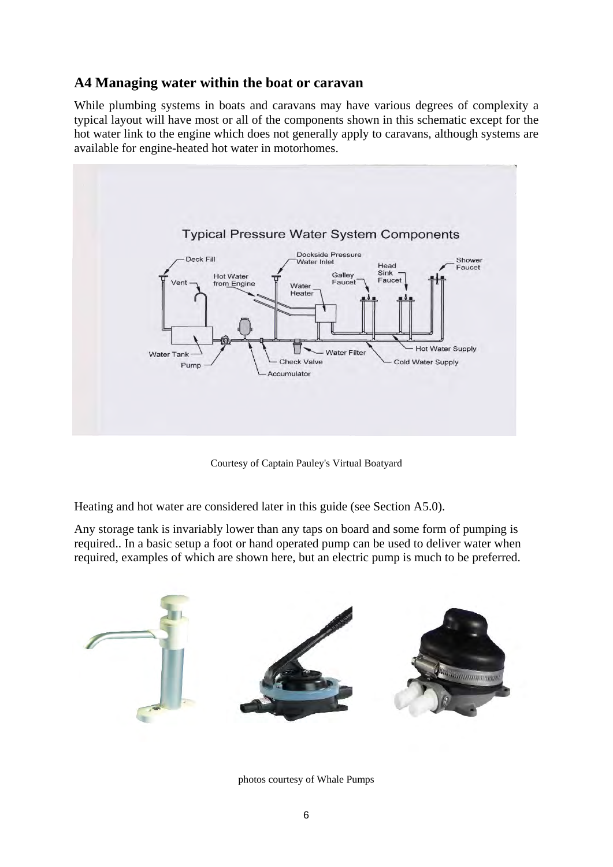## **A4 Managing water within the boat or caravan**

While plumbing systems in boats and caravans may have various degrees of complexity a typical layout will have most or all of the components shown in this schematic except for the hot water link to the engine which does not generally apply to caravans, although systems are available for engine-heated hot water in motorhomes.



Courtesy of Captain Pauley's Virtual Boatyard

Heating and hot water are considered later in this guide (see Section A5.0).

Any storage tank is invariably lower than any taps on board and some form of pumping is required.. In a basic setup a foot or hand operated pump can be used to deliver water when required, examples of which are shown here, but an electric pump is much to be preferred.



photos courtesy of Whale Pumps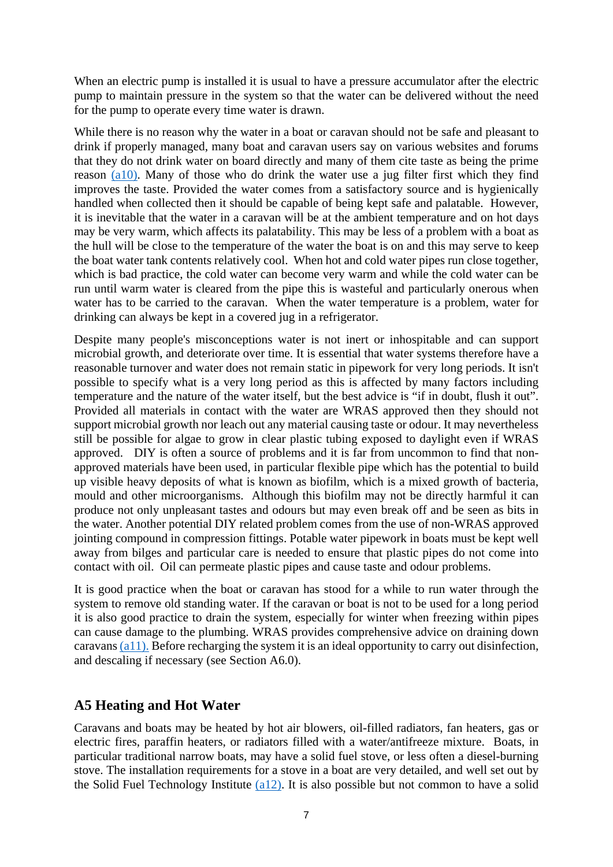When an electric pump is installed it is usual to have a pressure accumulator after the electric pump to maintain pressure in the system so that the water can be delivered without the need for the pump to operate every time water is drawn.

While there is no reason why the water in a boat or caravan should not be safe and pleasant to drink if properly managed, many boat and caravan users say on various websites and forums that they do not drink water on board directly and many of them cite taste as being the prime reason [\(a10\).](#page-31-0) Many of those who do drink the water use a jug filter first which they find improves the taste. Provided the water comes from a satisfactory source and is hygienically handled when collected then it should be capable of being kept safe and palatable. However, it is inevitable that the water in a caravan will be at the ambient temperature and on hot days may be very warm, which affects its palatability. This may be less of a problem with a boat as the hull will be close to the temperature of the water the boat is on and this may serve to keep the boat water tank contents relatively cool. When hot and cold water pipes run close together, which is bad practice, the cold water can become very warm and while the cold water can be run until warm water is cleared from the pipe this is wasteful and particularly onerous when water has to be carried to the caravan. When the water temperature is a problem, water for drinking can always be kept in a covered jug in a refrigerator.

Despite many people's misconceptions water is not inert or inhospitable and can support microbial growth, and deteriorate over time. It is essential that water systems therefore have a reasonable turnover and water does not remain static in pipework for very long periods. It isn't possible to specify what is a very long period as this is affected by many factors including temperature and the nature of the water itself, but the best advice is "if in doubt, flush it out". Provided all materials in contact with the water are WRAS approved then they should not support microbial growth nor leach out any material causing taste or odour. It may nevertheless still be possible for algae to grow in clear plastic tubing exposed to daylight even if WRAS approved. DIY is often a source of problems and it is far from uncommon to find that nonapproved materials have been used, in particular flexible pipe which has the potential to build up visible heavy deposits of what is known as biofilm, which is a mixed growth of bacteria, mould and other microorganisms. Although this biofilm may not be directly harmful it can produce not only unpleasant tastes and odours but may even break off and be seen as bits in the water. Another potential DIY related problem comes from the use of non-WRAS approved jointing compound in compression fittings. Potable water pipework in boats must be kept well away from bilges and particular care is needed to ensure that plastic pipes do not come into contact with oil. Oil can permeate plastic pipes and cause taste and odour problems.

It is good practice when the boat or caravan has stood for a while to run water through the system to remove old standing water. If the caravan or boat is not to be used for a long period it is also good practice to drain the system, especially for winter when freezing within pipes can cause damage to the plumbing. WRAS provides comprehensive advice on draining down caravans (a11). Before recharging the system it is an ideal opportunity to carry out disinfection, and descaling if necessary (see Section A6.0).

#### **A5 Heating and Hot Water**

Caravans and boats may be heated by hot air blowers, oil-filled radiators, fan heaters, gas or electric fires, paraffin heaters, or radiators filled with a water/antifreeze mixture. Boats, in particular traditional narrow boats, may have a solid fuel stove, or less often a diesel-burning stove. The installation requirements for a stove in a boat are very detailed, and well set out by the Solid Fuel Technology Institute (a12). It is also possible but not common to have a solid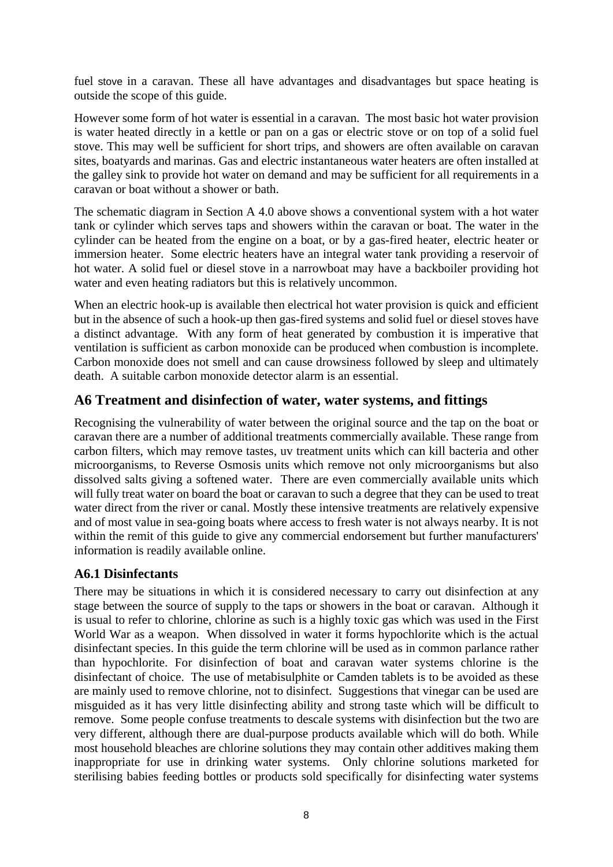fuel stove in a caravan. These all have advantages and disadvantages but space heating is outside the scope of this guide.

However some form of hot water is essential in a caravan. The most basic hot water provision is water heated directly in a kettle or pan on a gas or electric stove or on top of a solid fuel stove. This may well be sufficient for short trips, and showers are often available on caravan sites, boatyards and marinas. Gas and electric instantaneous water heaters are often installed at the galley sink to provide hot water on demand and may be sufficient for all requirements in a caravan or boat without a shower or bath.

The schematic diagram in Section A 4.0 above shows a conventional system with a hot water tank or cylinder which serves taps and showers within the caravan or boat. The water in the cylinder can be heated from the engine on a boat, or by a gas-fired heater, electric heater or immersion heater. Some electric heaters have an integral water tank providing a reservoir of hot water. A solid fuel or diesel stove in a narrowboat may have a backboiler providing hot water and even heating radiators but this is relatively uncommon.

When an electric hook-up is available then electrical hot water provision is quick and efficient but in the absence of such a hook-up then gas-fired systems and solid fuel or diesel stoves have a distinct advantage. With any form of heat generated by combustion it is imperative that ventilation is sufficient as carbon monoxide can be produced when combustion is incomplete. Carbon monoxide does not smell and can cause drowsiness followed by sleep and ultimately death. A suitable carbon monoxide detector alarm is an essential.

## **A6 Treatment and disinfection of water, water systems, and fittings**

Recognising the vulnerability of water between the original source and the tap on the boat or caravan there are a number of additional treatments commercially available. These range from carbon filters, which may remove tastes, uv treatment units which can kill bacteria and other microorganisms, to Reverse Osmosis units which remove not only microorganisms but also dissolved salts giving a softened water. There are even commercially available units which will fully treat water on board the boat or caravan to such a degree that they can be used to treat water direct from the river or canal. Mostly these intensive treatments are relatively expensive and of most value in sea-going boats where access to fresh water is not always nearby. It is not within the remit of this guide to give any commercial endorsement but further manufacturers' information is readily available online.

## **A6.1 Disinfectants**

There may be situations in which it is considered necessary to carry out disinfection at any stage between the source of supply to the taps or showers in the boat or caravan. Although it is usual to refer to chlorine, chlorine as such is a highly toxic gas which was used in the First World War as a weapon. When dissolved in water it forms hypochlorite which is the actual disinfectant species. In this guide the term chlorine will be used as in common parlance rather than hypochlorite. For disinfection of boat and caravan water systems chlorine is the disinfectant of choice. The use of metabisulphite or Camden tablets is to be avoided as these are mainly used to remove chlorine, not to disinfect. Suggestions that vinegar can be used are misguided as it has very little disinfecting ability and strong taste which will be difficult to remove. Some people confuse treatments to descale systems with disinfection but the two are very different, although there are dual-purpose products available which will do both. While most household bleaches are chlorine solutions they may contain other additives making them inappropriate for use in drinking water systems. Only chlorine solutions marketed for sterilising babies feeding bottles or products sold specifically for disinfecting water systems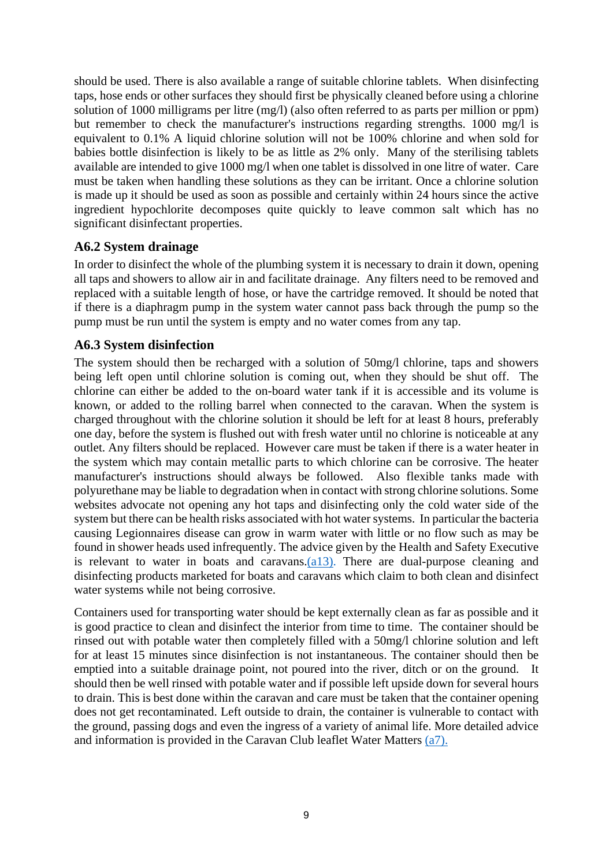<span id="page-12-0"></span>should be used. There is also available a range of suitable chlorine tablets. When disinfecting taps, hose ends or other surfaces they should first be physically cleaned before using a chlorine solution of 1000 milligrams per litre (mg/l) (also often referred to as parts per million or ppm) but remember to check the manufacturer's instructions regarding strengths. 1000 mg/l is equivalent to 0.1% A liquid chlorine solution will not be 100% chlorine and when sold for babies bottle disinfection is likely to be as little as 2% only. Many of the sterilising tablets available are intended to give 1000 mg/l when one tablet is dissolved in one litre of water. Care must be taken when handling these solutions as they can be irritant. Once a chlorine solution is made up it should be used as soon as possible and certainly within 24 hours since the active ingredient hypochlorite decomposes quite quickly to leave common salt which has no significant disinfectant properties.

#### **A6.2 System drainage**

In order to disinfect the whole of the plumbing system it is necessary to drain it down, opening all taps and showers to allow air in and facilitate drainage. Any filters need to be removed and replaced with a suitable length of hose, or have the cartridge removed. It should be noted that if there is a diaphragm pump in the system water cannot pass back through the pump so the pump must be run until the system is empty and no water comes from any tap.

#### **A6.3 System disinfection**

The system should then be recharged with a solution of 50mg/l chlorine, taps and showers being left open until chlorine solution is coming out, when they should be shut off. The chlorine can either be added to the on-board water tank if it is accessible and its volume is known, or added to the rolling barrel when connected to the caravan. When the system is charged throughout with the chlorine solution it should be left for at least 8 hours, preferably one day, before the system is flushed out with fresh water until no chlorine is noticeable at any outlet. Any filters should be replaced. However care must be taken if there is a water heater in the system which may contain metallic parts to which chlorine can be corrosive. The heater manufacturer's instructions should always be followed. Also flexible tanks made with polyurethane may be liable to degradation when in contact with strong chlorine solutions. Some websites advocate not opening any hot taps and disinfecting only the cold water side of the system but there can be health risks associated with hot water systems. In particular the bacteria causing Legionnaires disease can grow in warm water with little or no flow such as may be found in shower heads used infrequently. The advice given by the Health and Safety Executive is relevant to water in boats and caravans. $(a13)$ . There are dual-purpose cleaning and disinfecting products marketed for boats and caravans which claim to both clean and disinfect water systems while not being corrosive.

Containers used for transporting water should be kept externally clean as far as possible and it is good practice to clean and disinfect the interior from time to time. The container should be rinsed out with potable water then completely filled with a 50mg/l chlorine solution and left for at least 15 minutes since disinfection is not instantaneous. The container should then be emptied into a suitable drainage point, not poured into the river, ditch or on the ground. It should then be well rinsed with potable water and if possible left upside down for several hours to drain. This is best done within the caravan and care must be taken that the container opening does not get recontaminated. Left outside to drain, the container is vulnerable to contact with the ground, passing dogs and even the ingress of a variety of animal life. More detailed advice and information is provided in the Caravan Club leaflet Water Matters [\(a7\).](#page-31-0)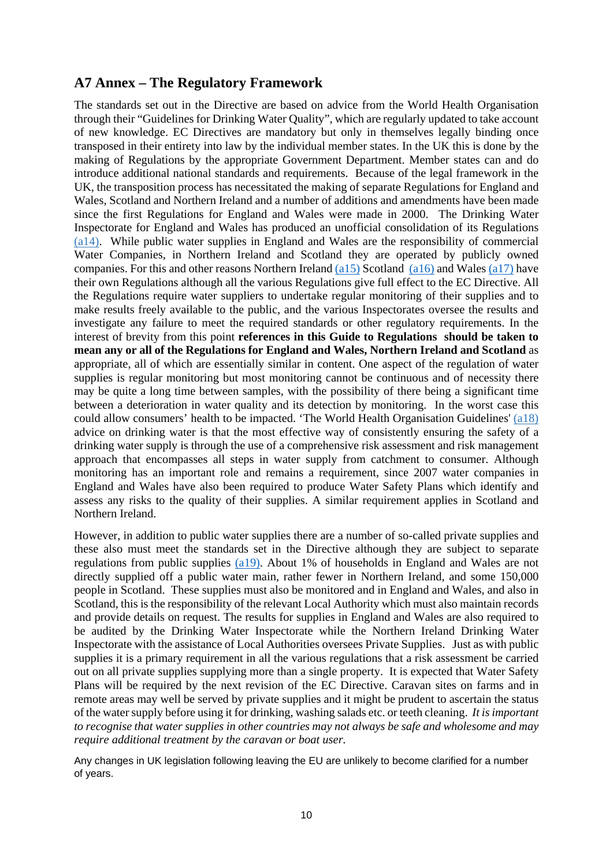#### **A7 Annex – The Regulatory Framework**

The standards set out in the Directive are based on advice from the World Health Organisation through their "Guidelines for Drinking Water Quality", which are regularly updated to take account of new knowledge. EC Directives are mandatory but only in themselves legally binding once transposed in their entirety into law by the individual member states. In the UK this is done by the making of Regulations by the appropriate Government Department. Member states can and do introduce additional national standards and requirements. Because of the legal framework in the UK, the transposition process has necessitated the making of separate Regulations for England and Wales, Scotland and Northern Ireland and a number of additions and amendments have been made since the first Regulations for England and Wales were made in 2000. The Drinking Water Inspectorate for England and Wales has produced an unofficial consolidation of its Regulations [\(a14\).](#page-31-0) While public water supplies in England and Wales are the responsibility of commercial Water Companies, in Northern Ireland and Scotland they are operated by publicly owned companies. For this and other reasons Northern Ireland  $(a15)$  Scotland  $(a16)$  and Wales  $(a17)$  have their own Regulations although all the various Regulations give full effect to the EC Directive. All the Regulations require water suppliers to undertake regular monitoring of their supplies and to make results freely available to the public, and the various Inspectorates oversee the results and investigate any failure to meet the required standards or other regulatory requirements. In the interest of brevity from this point **references in this Guide to Regulations should be taken to mean any or all of the Regulations for England and Wales, Northern Ireland and Scotland** as appropriate, all of which are essentially similar in content. One aspect of the regulation of water supplies is regular monitoring but most monitoring cannot be continuous and of necessity there may be quite a long time between samples, with the possibility of there being a significant time between a deterioration in water quality and its detection by monitoring. In the worst case this could allow consumers' health to be impacted. 'The World Health Organisation Guidelines' [\(a18\)](#page-32-0) advice on drinking water is that the most effective way of consistently ensuring the safety of a drinking water supply is through the use of a comprehensive risk assessment and risk management approach that encompasses all steps in water supply from catchment to consumer. Although monitoring has an important role and remains a requirement, since 2007 water companies in England and Wales have also been required to produce Water Safety Plans which identify and assess any risks to the quality of their supplies. A similar requirement applies in Scotland and Northern Ireland.

However, in addition to public water supplies there are a number of so-called private supplies and these also must meet the standards set in the Directive although they are subject to separate regulations from public supplies [\(a19\).](#page-32-0) About 1% of households in England and Wales are not directly supplied off a public water main, rather fewer in Northern Ireland, and some 150,000 people in Scotland. These supplies must also be monitored and in England and Wales, and also in Scotland, this is the responsibility of the relevant Local Authority which must also maintain records and provide details on request. The results for supplies in England and Wales are also required to be audited by the Drinking Water Inspectorate while the Northern Ireland Drinking Water Inspectorate with the assistance of Local Authorities oversees Private Supplies. Just as with public supplies it is a primary requirement in all the various regulations that a risk assessment be carried out on all private supplies supplying more than a single property. It is expected that Water Safety Plans will be required by the next revision of the EC Directive. Caravan sites on farms and in remote areas may well be served by private supplies and it might be prudent to ascertain the status of the water supply before using it for drinking, washing salads etc. or teeth cleaning. *It is important to recognise that water supplies in other countries may not always be safe and wholesome and may require additional treatment by the caravan or boat user.*

Any changes in UK legislation following leaving the EU are unlikely to become clarified for a number of years.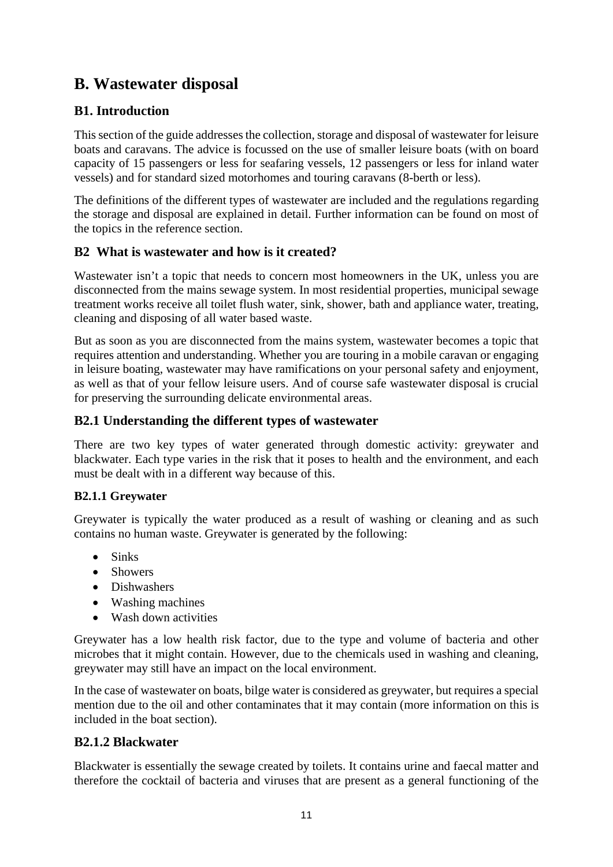## **B. Wastewater disposal**

## **B1. Introduction**

This section of the guide addresses the collection, storage and disposal of wastewater for leisure boats and caravans. The advice is focussed on the use of smaller leisure boats (with on board capacity of 15 passengers or less for seafaring vessels, 12 passengers or less for inland water vessels) and for standard sized motorhomes and touring caravans (8-berth or less).

The definitions of the different types of wastewater are included and the regulations regarding the storage and disposal are explained in detail. Further information can be found on most of the topics in the reference section.

## **B2 What is wastewater and how is it created?**

Wastewater isn't a topic that needs to concern most homeowners in the UK, unless you are disconnected from the mains sewage system. In most residential properties, municipal sewage treatment works receive all toilet flush water, sink, shower, bath and appliance water, treating, cleaning and disposing of all water based waste.

But as soon as you are disconnected from the mains system, wastewater becomes a topic that requires attention and understanding. Whether you are touring in a mobile caravan or engaging in leisure boating, wastewater may have ramifications on your personal safety and enjoyment, as well as that of your fellow leisure users. And of course safe wastewater disposal is crucial for preserving the surrounding delicate environmental areas.

## **B2.1 Understanding the different types of wastewater**

There are two key types of water generated through domestic activity: greywater and blackwater. Each type varies in the risk that it poses to health and the environment, and each must be dealt with in a different way because of this.

#### **B2.1.1 Greywater**

Greywater is typically the water produced as a result of washing or cleaning and as such contains no human waste. Greywater is generated by the following:

- Sinks
- Showers
- Dishwashers
- Washing machines
- Wash down activities

Greywater has a low health risk factor, due to the type and volume of bacteria and other microbes that it might contain. However, due to the chemicals used in washing and cleaning, greywater may still have an impact on the local environment.

In the case of wastewater on boats, bilge water is considered as greywater, but requires a special mention due to the oil and other contaminates that it may contain (more information on this is included in the boat section).

## **B2.1.2 Blackwater**

Blackwater is essentially the sewage created by toilets. It contains urine and faecal matter and therefore the cocktail of bacteria and viruses that are present as a general functioning of the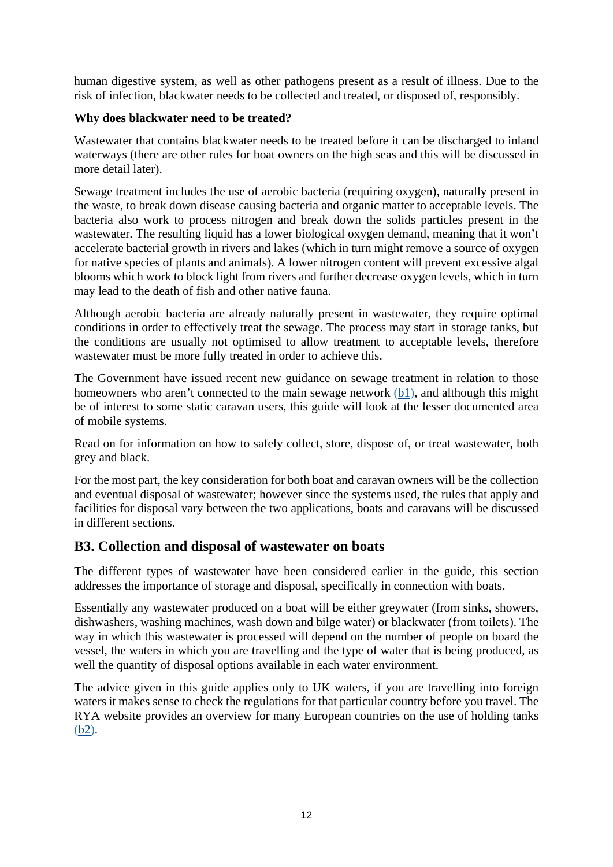human digestive system, as well as other pathogens present as a result of illness. Due to the risk of infection, blackwater needs to be collected and treated, or disposed of, responsibly.

#### **Why does blackwater need to be treated?**

Wastewater that contains blackwater needs to be treated before it can be discharged to inland waterways (there are other rules for boat owners on the high seas and this will be discussed in more detail later).

Sewage treatment includes the use of aerobic bacteria (requiring oxygen), naturally present in the waste, to break down disease causing bacteria and organic matter to acceptable levels. The bacteria also work to process nitrogen and break down the solids particles present in the wastewater. The resulting liquid has a lower biological oxygen demand, meaning that it won't accelerate bacterial growth in rivers and lakes (which in turn might remove a source of oxygen for native species of plants and animals). A lower nitrogen content will prevent excessive algal blooms which work to block light from rivers and further decrease oxygen levels, which in turn may lead to the death of fish and other native fauna.

Although aerobic bacteria are already naturally present in wastewater, they require optimal conditions in order to effectively treat the sewage. The process may start in storage tanks, but the conditions are usually not optimised to allow treatment to acceptable levels, therefore wastewater must be more fully treated in order to achieve this.

The Government have issued recent new guidance on sewage treatment in relation to those homeowners who aren't connected to the main sewage network [\(b1\),](#page-32-0) and although this might be of interest to some static caravan users, this guide will look at the lesser documented area of mobile systems.

Read on for information on how to safely collect, store, dispose of, or treat wastewater, both grey and black.

For the most part, the key consideration for both boat and caravan owners will be the collection and eventual disposal of wastewater; however since the systems used, the rules that apply and facilities for disposal vary between the two applications, boats and caravans will be discussed in different sections.

## **B3. Collection and disposal of wastewater on boats**

The different types of wastewater have been considered earlier in the guide, this section addresses the importance of storage and disposal, specifically in connection with boats.

Essentially any wastewater produced on a boat will be either greywater (from sinks, showers, dishwashers, washing machines, wash down and bilge water) or blackwater (from toilets). The way in which this wastewater is processed will depend on the number of people on board the vessel, the waters in which you are travelling and the type of water that is being produced, as well the quantity of disposal options available in each water environment.

The advice given in this guide applies only to UK waters, if you are travelling into foreign waters it makes sense to check the regulations for that particular country before you travel. The RYA website provides an overview for many European countries on the use of holding tanks [\(b2\).](#page-32-0)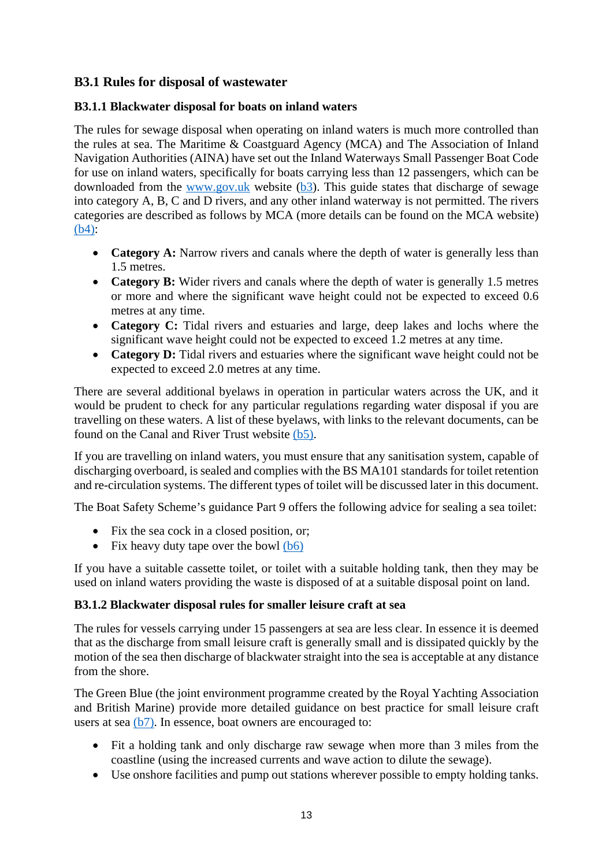## **B3.1 Rules for disposal of wastewater**

#### **B3.1.1 Blackwater disposal for boats on inland waters**

The rules for sewage disposal when operating on inland waters is much more controlled than the rules at sea. The Maritime & Coastguard Agency (MCA) and The Association of Inland Navigation Authorities (AINA) have set out the Inland Waterways Small Passenger Boat Code for use on inland waters, specifically for boats carrying less than 12 passengers, which can be downloaded from the www.gov.uk website [\(b3\).](#page-32-0) This guide states that discharge of sewage into category A, B, C and D rivers, and any other inland waterway is not permitted. The rivers categories are described as follows by MCA (more details can be found on the MCA website) [\(b4\):](#page-32-0)

- **Category A:** Narrow rivers and canals where the depth of water is generally less than 1.5 metres.
- **Category B:** Wider rivers and canals where the depth of water is generally 1.5 metres or more and where the significant wave height could not be expected to exceed 0.6 metres at any time.
- **Category C:** Tidal rivers and estuaries and large, deep lakes and lochs where the significant wave height could not be expected to exceed 1.2 metres at any time.
- **Category D:** Tidal rivers and estuaries where the significant wave height could not be expected to exceed 2.0 metres at any time.

There are several additional byelaws in operation in particular waters across the UK, and it would be prudent to check for any particular regulations regarding water disposal if you are travelling on these waters. A list of these byelaws, with links to the relevant documents, can be found on the Canal and River Trust website [\(b5\).](#page-32-0) 

If you are travelling on inland waters, you must ensure that any sanitisation system, capable of discharging overboard, is sealed and complies with the BS MA101 standards for toilet retention and re-circulation systems. The different types of toilet will be discussed later in this document.

The Boat Safety Scheme's guidance Part 9 offers the following advice for sealing a sea toilet:

- Fix the sea cock in a closed position, or;
- Fix heavy duty tape over the bowl  $(b6)$

If you have a suitable cassette toilet, or toilet with a suitable holding tank, then they may be used on inland waters providing the waste is disposed of at a suitable disposal point on land.

#### **B3.1.2 Blackwater disposal rules for smaller leisure craft at sea**

The rules for vessels carrying under 15 passengers at sea are less clear. In essence it is deemed that as the discharge from small leisure craft is generally small and is dissipated quickly by the motion of the sea then discharge of blackwater straight into the sea is acceptable at any distance from the shore.

The Green Blue (the joint environment programme created by the Royal Yachting Association and British Marine) provide more detailed guidance on best practice for small leisure craft users at sea  $(b7)$ . In essence, boat owners are encouraged to:

- Fit a holding tank and only discharge raw sewage when more than 3 miles from the coastline (using the increased currents and wave action to dilute the sewage).
- Use onshore facilities and pump out stations wherever possible to empty holding tanks.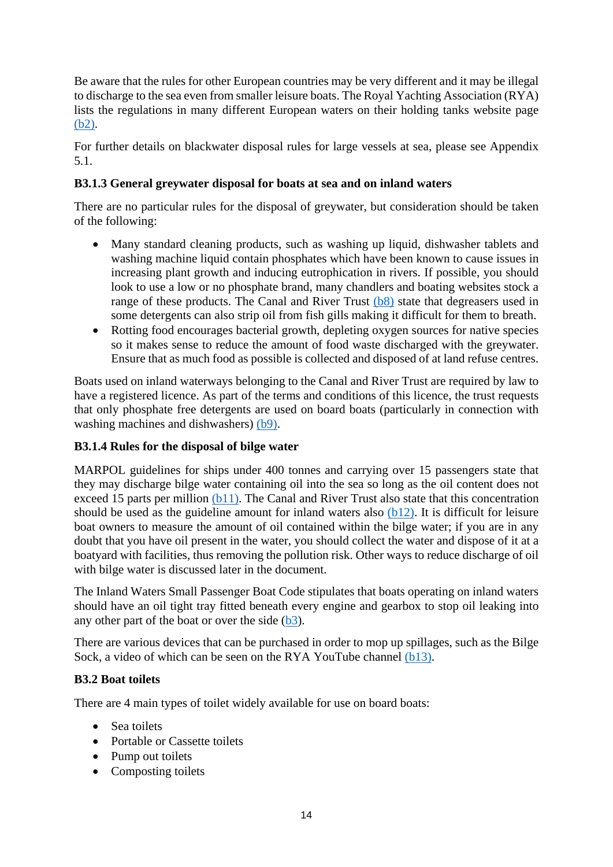Be aware that the rules for other European countries may be very different and it may be illegal to discharge to the sea even from smaller leisure boats. The Royal Yachting Association (RYA) lists the regulations in many different European waters on their holding tanks website page [\(b2\).](#page-32-0) 

For further details on blackwater disposal rules for large vessels at sea, please see Appendix 5.1.

#### **B3.1.3 General greywater disposal for boats at sea and on inland waters**

There are no particular rules for the disposal of greywater, but consideration should be taken of the following:

- Many standard cleaning products, such as washing up liquid, dishwasher tablets and washing machine liquid contain phosphates which have been known to cause issues in increasing plant growth and inducing eutrophication in rivers. If possible, you should look to use a low or no phosphate brand, many chandlers and boating websites stock a range of these products. The Canal and River Trust [\(b8\)](#page-32-0) state that degreasers used in some detergents can also strip oil from fish gills making it difficult for them to breath.
- Rotting food encourages bacterial growth, depleting oxygen sources for native species so it makes sense to reduce the amount of food waste discharged with the greywater. Ensure that as much food as possible is collected and disposed of at land refuse centres.

Boats used on inland waterways belonging to the Canal and River Trust are required by law to have a registered licence. As part of the terms and conditions of this licence, the trust requests that only phosphate free detergents are used on board boats (particularly in connection with washing machines and dishwashers) [\(b9\).](#page-32-0)

#### **B3.1.4 Rules for the disposal of bilge water**

MARPOL guidelines for ships under 400 tonnes and carrying over 15 passengers state that they may discharge bilge water containing oil into the sea so long as the oil content does not exceed 15 parts per million [\(b11\).](#page-32-0) The Canal and River Trust also state that this concentration should be used as the guideline amount for inland waters also  $(b12)$ . It is difficult for leisure boat owners to measure the amount of oil contained within the bilge water; if you are in any doubt that you have oil present in the water, you should collect the water and dispose of it at a boatyard with facilities, thus removing the pollution risk. Other ways to reduce discharge of oil with bilge water is discussed later in the document.

The Inland Waters Small Passenger Boat Code stipulates that boats operating on inland waters should have an oil tight tray fitted beneath every engine and gearbox to stop oil leaking into any other part of the boat or over the side  $(b3)$ .

There are various devices that can be purchased in order to mop up spillages, such as the Bilge Sock, a video of which can be seen on the RYA YouTube channel [\(b13\).](#page-33-0)

#### **B3.2 Boat toilets**

There are 4 main types of toilet widely available for use on board boats:

- Sea toilets
- Portable or Cassette toilets
- Pump out toilets
- Composting toilets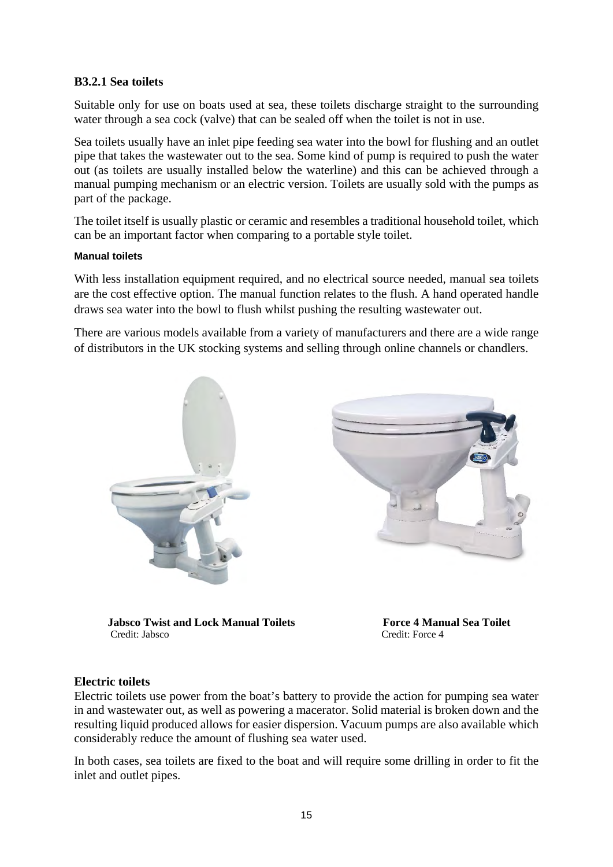#### **B3.2.1 Sea toilets**

Suitable only for use on boats used at sea, these toilets discharge straight to the surrounding water through a sea cock (valve) that can be sealed off when the toilet is not in use.

Sea toilets usually have an inlet pipe feeding sea water into the bowl for flushing and an outlet pipe that takes the wastewater out to the sea. Some kind of pump is required to push the water out (as toilets are usually installed below the waterline) and this can be achieved through a manual pumping mechanism or an electric version. Toilets are usually sold with the pumps as part of the package.

The toilet itself is usually plastic or ceramic and resembles a traditional household toilet, which can be an important factor when comparing to a portable style toilet.

#### **Manual toilets**

With less installation equipment required, and no electrical source needed, manual sea toilets are the cost effective option. The manual function relates to the flush. A hand operated handle draws sea water into the bowl to flush whilst pushing the resulting wastewater out.

There are various models available from a variety of manufacturers and there are a wide range of distributors in the UK stocking systems and selling through online channels or chandlers.



 **Jabsco Twist and Lock Manual Toilets Force 4 Manual Sea Toilet**  Credit: Jabsco Credit: Force 4

#### **Electric toilets**

Electric toilets use power from the boat's battery to provide the action for pumping sea water in and wastewater out, as well as powering a macerator. Solid material is broken down and the resulting liquid produced allows for easier dispersion. Vacuum pumps are also available which considerably reduce the amount of flushing sea water used.

In both cases, sea toilets are fixed to the boat and will require some drilling in order to fit the inlet and outlet pipes.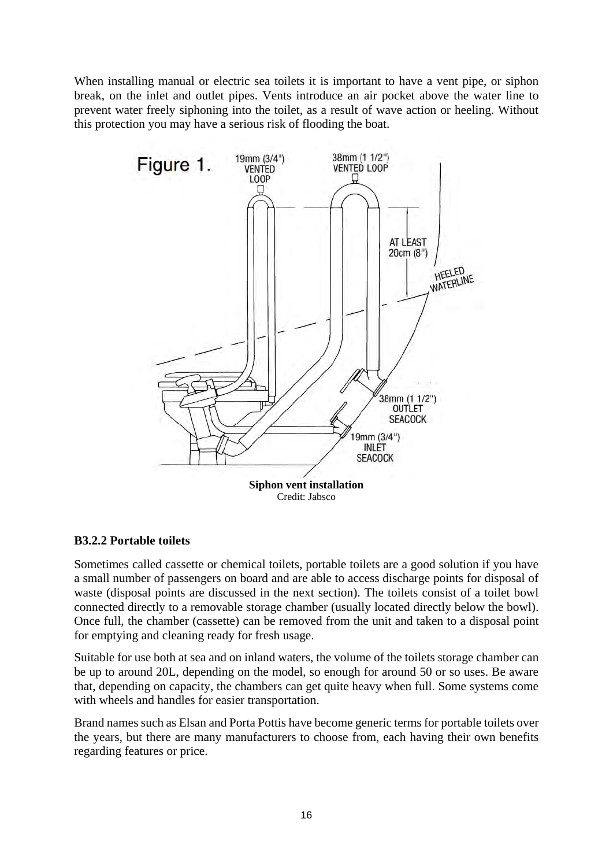When installing manual or electric sea toilets it is important to have a vent pipe, or siphon break, on the inlet and outlet pipes. Vents introduce an air pocket above the water line to prevent water freely siphoning into the toilet, as a result of wave action or heeling. Without this protection you may have a serious risk of flooding the boat.



#### **B3.2.2 Portable toilets**

Sometimes called cassette or chemical toilets, portable toilets are a good solution if you have a small number of passengers on board and are able to access discharge points for disposal of waste (disposal points are discussed in the next section). The toilets consist of a toilet bowl connected directly to a removable storage chamber (usually located directly below the bowl). Once full, the chamber (cassette) can be removed from the unit and taken to a disposal point for emptying and cleaning ready for fresh usage.

Suitable for use both at sea and on inland waters, the volume of the toilets storage chamber can be up to around 20L, depending on the model, so enough for around 50 or so uses. Be aware that, depending on capacity, the chambers can get quite heavy when full. Some systems come with wheels and handles for easier transportation.

Brand names such as Elsan and Porta Pottis have become generic terms for portable toilets over the years, but there are many manufacturers to choose from, each having their own benefits regarding features or price.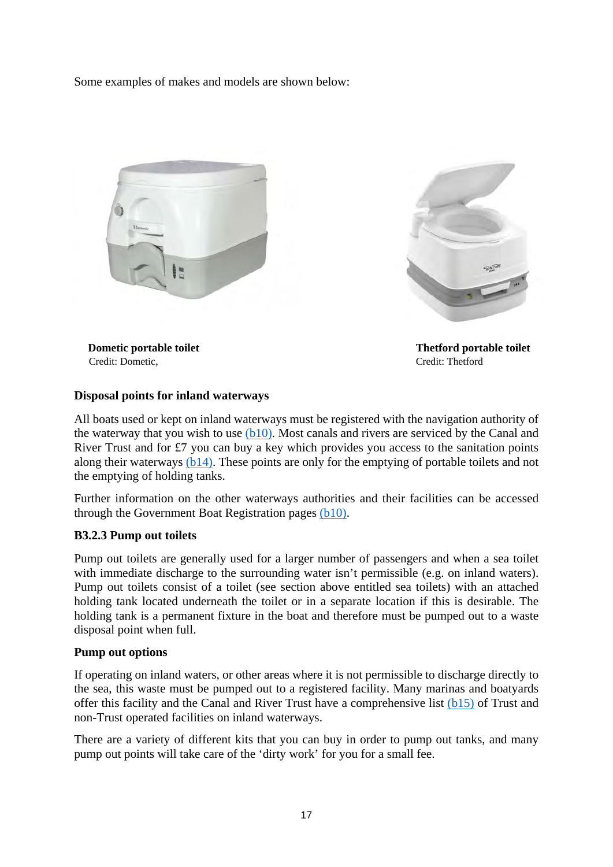Some examples of makes and models are shown below:





Credit: Dometic, Credit: Thetford

**Dometic portable toilet Thetford portable toilet Thetford portable toilet** 

#### **Disposal points for inland waterways**

All boats used or kept on inland waterways must be registered with the navigation authority of the waterway that you wish to use [\(b10\).](#page-32-0) Most canals and rivers are serviced by the Canal and River Trust and for £7 you can buy a key which provides you access to the sanitation points along their waterways [\(b14\).](#page-33-0) These points are only for the emptying of portable toilets and not the emptying of holding tanks.

Further information on the other waterways authorities and their facilities can be accessed through the Government Boat Registration pages [\(b10\).](#page-32-0) 

#### **B3.2.3 Pump out toilets**

Pump out toilets are generally used for a larger number of passengers and when a sea toilet with immediate discharge to the surrounding water isn't permissible (e.g. on inland waters). Pump out toilets consist of a toilet (see section above entitled sea toilets) with an attached holding tank located underneath the toilet or in a separate location if this is desirable. The holding tank is a permanent fixture in the boat and therefore must be pumped out to a waste disposal point when full.

#### **Pump out options**

If operating on inland waters, or other areas where it is not permissible to discharge directly to the sea, this waste must be pumped out to a registered facility. Many marinas and boatyards offer this facility and the Canal and River Trust have a comprehensive list [\(b15\)](#page-33-0) of Trust and non-Trust operated facilities on inland waterways.

There are a variety of different kits that you can buy in order to pump out tanks, and many pump out points will take care of the 'dirty work' for you for a small fee.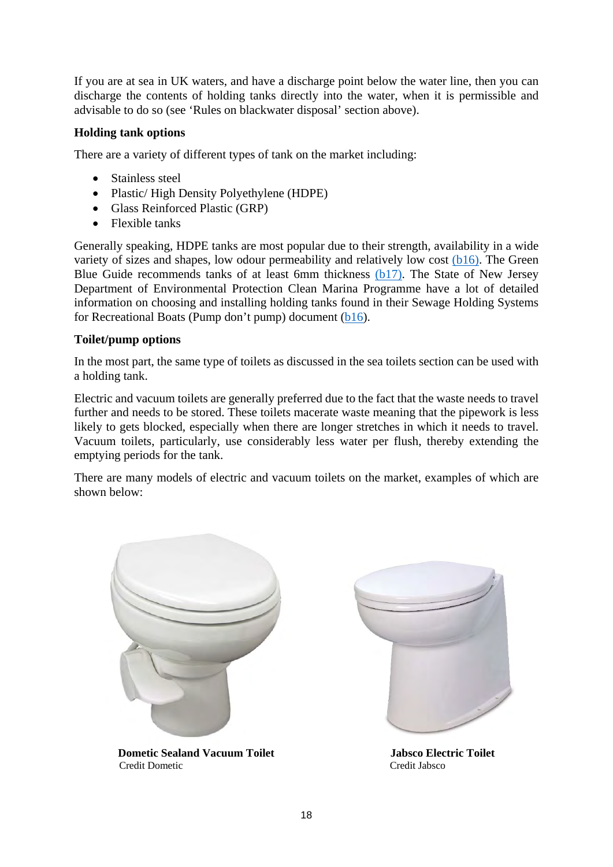If you are at sea in UK waters, and have a discharge point below the water line, then you can discharge the contents of holding tanks directly into the water, when it is permissible and advisable to do so (see 'Rules on blackwater disposal' section above).

#### **Holding tank options**

There are a variety of different types of tank on the market including:

- Stainless steel
- Plastic/ High Density Polyethylene (HDPE)
- Glass Reinforced Plastic (GRP)
- Flexible tanks

Generally speaking, HDPE tanks are most popular due to their strength, availability in a wide variety of sizes and shapes, low odour permeability and relatively low cost [\(b16\).](#page-33-0) The Green Blue Guide recommends tanks of at least 6mm thickness [\(b17\).](#page-33-0) The State of New Jersey Department of Environmental Protection Clean Marina Programme have a lot of detailed information on choosing and installing holding tanks found in their Sewage Holding Systems for Recreational Boats (Pump don't pump) document [\(b16\).](#page-33-0) 

#### **Toilet/pump options**

In the most part, the same type of toilets as discussed in the sea toilets section can be used with a holding tank.

Electric and vacuum toilets are generally preferred due to the fact that the waste needs to travel further and needs to be stored. These toilets macerate waste meaning that the pipework is less likely to gets blocked, especially when there are longer stretches in which it needs to travel. Vacuum toilets, particularly, use considerably less water per flush, thereby extending the emptying periods for the tank.

There are many models of electric and vacuum toilets on the market, examples of which are shown below:



**Dometic Sealand Vacuum Toilet 1986** Jabsco Electric Toilet Credit Dometic Credit Jabsco

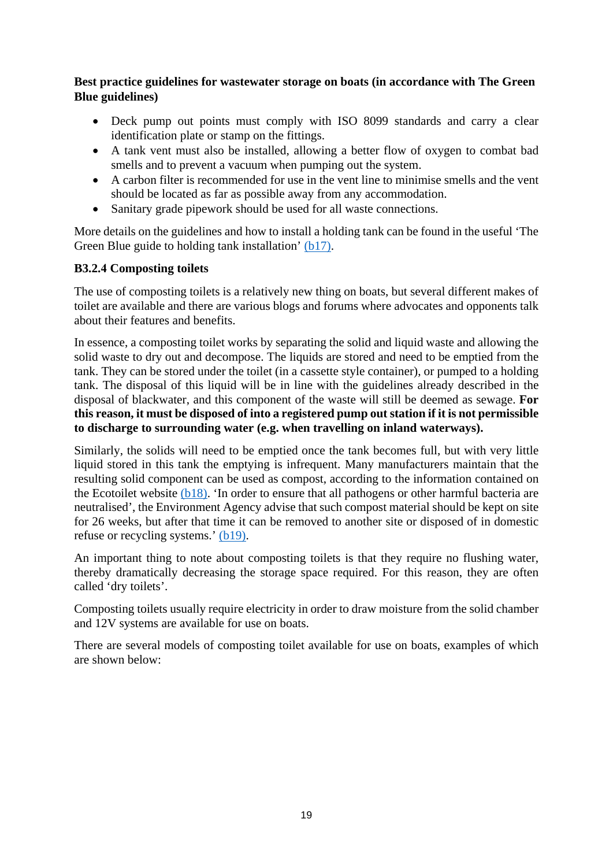#### **Best practice guidelines for wastewater storage on boats (in accordance with The Green Blue guidelines)**

- Deck pump out points must comply with ISO 8099 standards and carry a clear identification plate or stamp on the fittings.
- A tank vent must also be installed, allowing a better flow of oxygen to combat bad smells and to prevent a vacuum when pumping out the system.
- A carbon filter is recommended for use in the vent line to minimise smells and the vent should be located as far as possible away from any accommodation.
- Sanitary grade pipework should be used for all waste connections.

More details on the guidelines and how to install a holding tank can be found in the useful 'The Green Blue guide to holding tank installation' (b17).

#### **B3.2.4 Composting toilets**

The use of composting toilets is a relatively new thing on boats, but several different makes of toilet are available and there are various blogs and forums where advocates and opponents talk about their features and benefits.

In essence, a composting toilet works by separating the solid and liquid waste and allowing the solid waste to dry out and decompose. The liquids are stored and need to be emptied from the tank. They can be stored under the toilet (in a cassette style container), or pumped to a holding tank. The disposal of this liquid will be in line with the guidelines already described in the disposal of blackwater, and this component of the waste will still be deemed as sewage. **For this reason, it must be disposed of into a registered pump out station if it is not permissible to discharge to surrounding water (e.g. when travelling on inland waterways).** 

Similarly, the solids will need to be emptied once the tank becomes full, but with very little liquid stored in this tank the emptying is infrequent. Many manufacturers maintain that the resulting solid component can be used as compost, according to the information contained on the Ecotoilet website [\(b18\).](#page-33-0) 'In order to ensure that all pathogens or other harmful bacteria are neutralised', the Environment Agency advise that such compost material should be kept on site for 26 weeks, but after that time it can be removed to another site or disposed of in domestic refuse or recycling systems.' [\(b19\).](#page-33-0) 

An important thing to note about composting toilets is that they require no flushing water, thereby dramatically decreasing the storage space required. For this reason, they are often called 'dry toilets'.

Composting toilets usually require electricity in order to draw moisture from the solid chamber and 12V systems are available for use on boats.

There are several models of composting toilet available for use on boats, examples of which are shown below: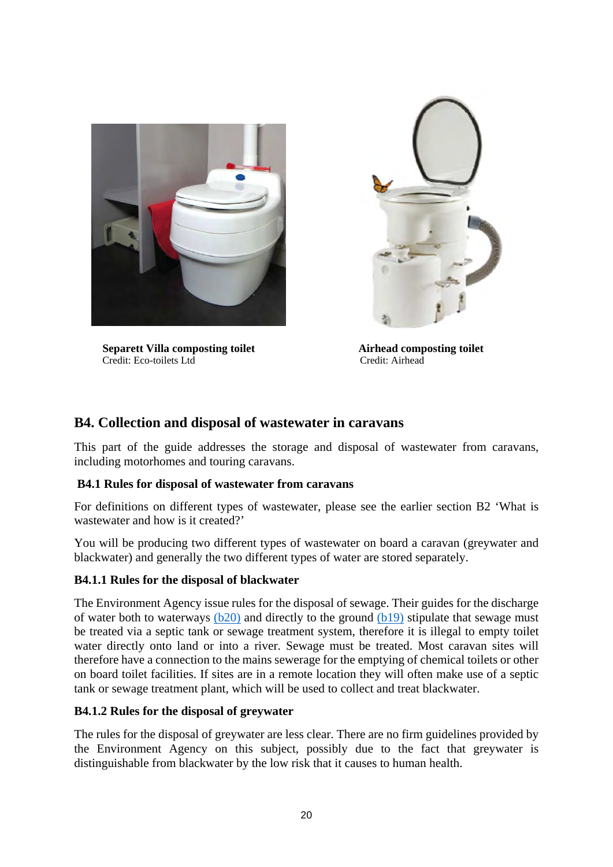



**Separett Villa composting toilet Airhead composting toilet** Credit: Eco-toilets Ltd Credit: Airhead

## **B4. Collection and disposal of wastewater in caravans**

This part of the guide addresses the storage and disposal of wastewater from caravans, including motorhomes and touring caravans.

#### **B4.1 Rules for disposal of wastewater from caravans**

For definitions on different types of wastewater, please see the earlier section B2 'What is wastewater and how is it created?'

You will be producing two different types of wastewater on board a caravan (greywater and blackwater) and generally the two different types of water are stored separately.

#### **B4.1.1 Rules for the disposal of blackwater**

The Environment Agency issue rules for the disposal of sewage. Their guides for the discharge of water both to waterways  $(b20)$  and directly to the ground  $(b19)$  stipulate that sewage must be treated via a septic tank or sewage treatment system, therefore it is illegal to empty toilet water directly onto land or into a river. Sewage must be treated. Most caravan sites will therefore have a connection to the mains sewerage for the emptying of chemical toilets or other on board toilet facilities. If sites are in a remote location they will often make use of a septic tank or sewage treatment plant, which will be used to collect and treat blackwater.

#### **B4.1.2 Rules for the disposal of greywater**

The rules for the disposal of greywater are less clear. There are no firm guidelines provided by the Environment Agency on this subject, possibly due to the fact that greywater is distinguishable from blackwater by the low risk that it causes to human health.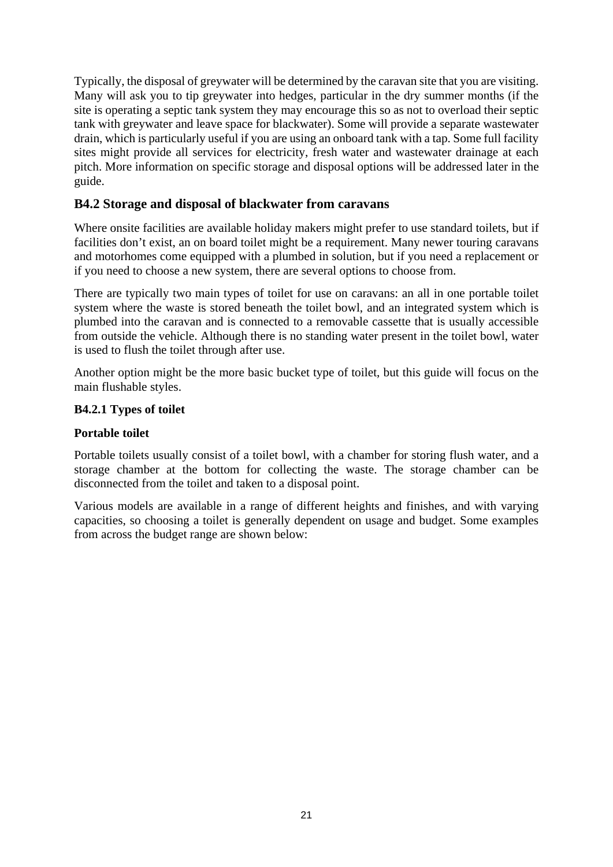Typically, the disposal of greywater will be determined by the caravan site that you are visiting. Many will ask you to tip greywater into hedges, particular in the dry summer months (if the site is operating a septic tank system they may encourage this so as not to overload their septic tank with greywater and leave space for blackwater). Some will provide a separate wastewater drain, which is particularly useful if you are using an onboard tank with a tap. Some full facility sites might provide all services for electricity, fresh water and wastewater drainage at each pitch. More information on specific storage and disposal options will be addressed later in the guide.

## **B4.2 Storage and disposal of blackwater from caravans**

Where onsite facilities are available holiday makers might prefer to use standard toilets, but if facilities don't exist, an on board toilet might be a requirement. Many newer touring caravans and motorhomes come equipped with a plumbed in solution, but if you need a replacement or if you need to choose a new system, there are several options to choose from.

There are typically two main types of toilet for use on caravans: an all in one portable toilet system where the waste is stored beneath the toilet bowl, and an integrated system which is plumbed into the caravan and is connected to a removable cassette that is usually accessible from outside the vehicle. Although there is no standing water present in the toilet bowl, water is used to flush the toilet through after use.

Another option might be the more basic bucket type of toilet, but this guide will focus on the main flushable styles.

#### **B4.2.1 Types of toilet**

#### **Portable toilet**

Portable toilets usually consist of a toilet bowl, with a chamber for storing flush water, and a storage chamber at the bottom for collecting the waste. The storage chamber can be disconnected from the toilet and taken to a disposal point.

Various models are available in a range of different heights and finishes, and with varying capacities, so choosing a toilet is generally dependent on usage and budget. Some examples from across the budget range are shown below: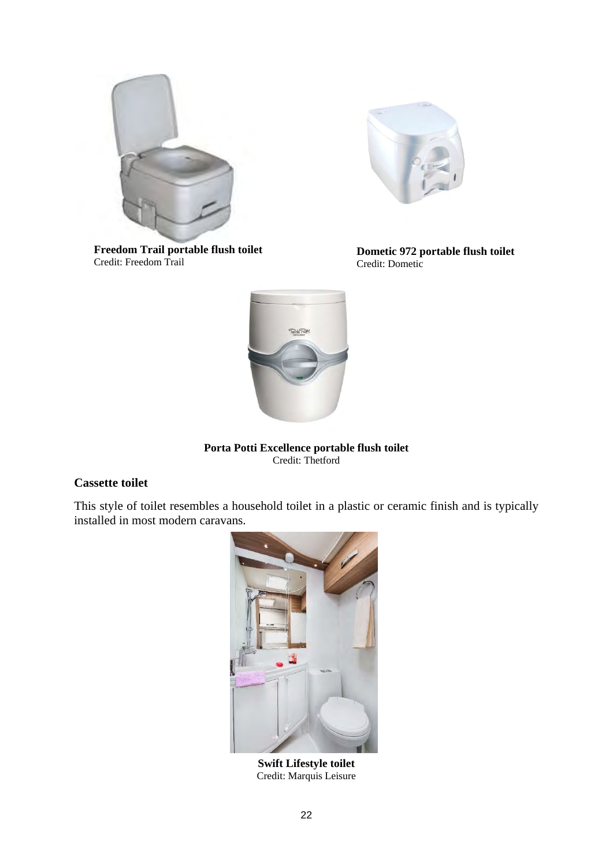



 **Freedom Trail portable flush toilet**  Credit: Freedom Trail

**Dometic 972 portable flush toilet**  Credit: Dometic



**Porta Potti Excellence portable flush toilet**  Credit: Thetford

#### **Cassette toilet**

This style of toilet resembles a household toilet in a plastic or ceramic finish and is typically installed in most modern caravans.



**Swift Lifestyle toilet**  Credit: Marquis Leisure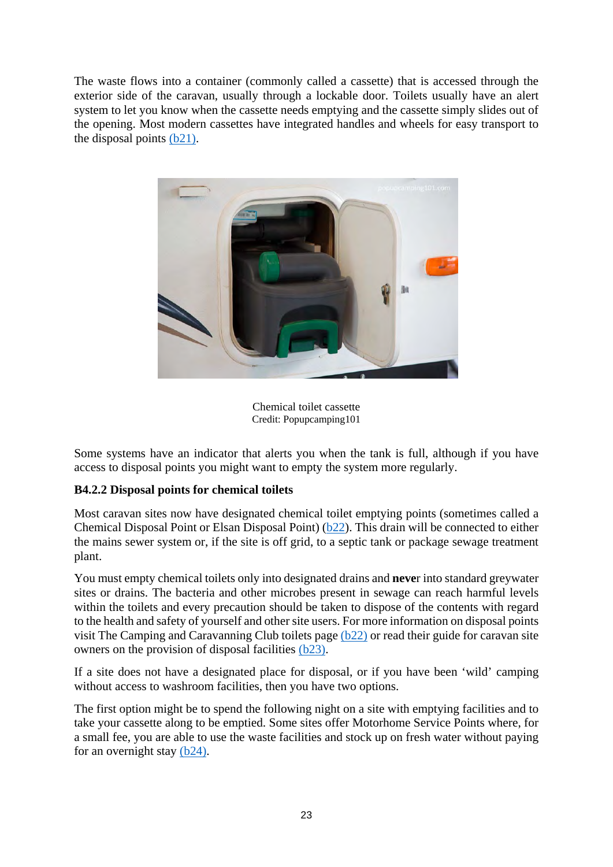The waste flows into a container (commonly called a cassette) that is accessed through the exterior side of the caravan, usually through a lockable door. Toilets usually have an alert system to let you know when the cassette needs emptying and the cassette simply slides out of the opening. Most modern cassettes have integrated handles and wheels for easy transport to the disposal points [\(b21\).](#page-33-0)



Chemical toilet cassette Credit: Popupcamping101

Some systems have an indicator that alerts you when the tank is full, although if you have access to disposal points you might want to empty the system more regularly.

#### **B4.2.2 Disposal points for chemical toilets**

Most caravan sites now have designated chemical toilet emptying points (sometimes called a Chemical Disposal Point or Elsan Disposal Point) [\(b22\).](#page-33-0) This drain will be connected to either the mains sewer system or, if the site is off grid, to a septic tank or package sewage treatment plant.

You must empty chemical toilets only into designated drains and **neve**r into standard greywater sites or drains. The bacteria and other microbes present in sewage can reach harmful levels within the toilets and every precaution should be taken to dispose of the contents with regard to the health and safety of yourself and other site users. For more information on disposal points visit The Camping and Caravanning Club toilets page [\(b22\)](#page-33-0) or read their guide for caravan site owners on the provision of disposal facilities [\(b23\).](#page-33-0)

If a site does not have a designated place for disposal, or if you have been 'wild' camping without access to washroom facilities, then you have two options.

The first option might be to spend the following night on a site with emptying facilities and to take your cassette along to be emptied. Some sites offer Motorhome Service Points where, for a small fee, you are able to use the waste facilities and stock up on fresh water without paying for an overnight stay [\(b24\).](#page-33-0)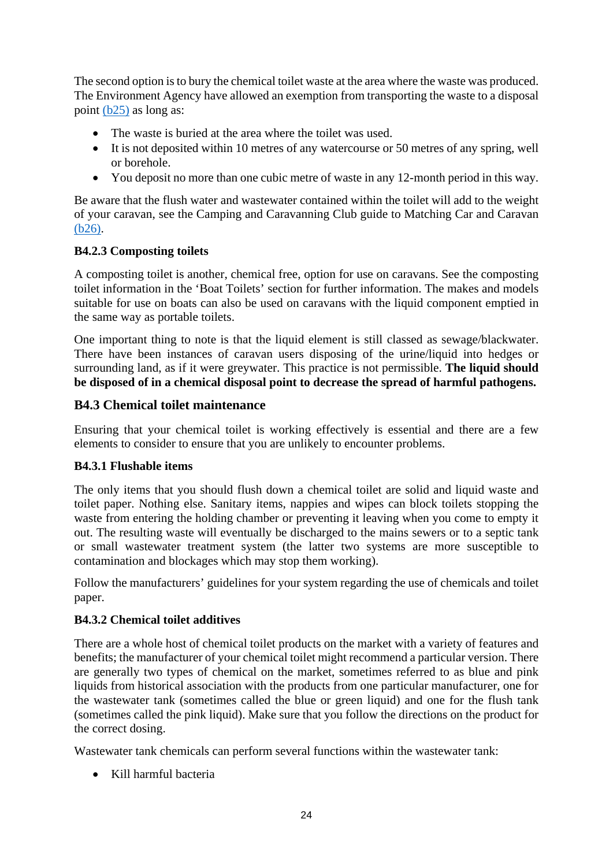The second option is to bury the chemical toilet waste at the area where the waste was produced. The Environment Agency have allowed an exemption from transporting the waste to a disposal point [\(b25\)](#page-34-0) as long as:

- The waste is buried at the area where the toilet was used.
- It is not deposited within 10 metres of any watercourse or 50 metres of any spring, well or borehole.
- You deposit no more than one cubic metre of waste in any 12-month period in this way.

Be aware that the flush water and wastewater contained within the toilet will add to the weight of your caravan, see the Camping and Caravanning Club guide to Matching Car and Caravan [\(b26\).](#page-34-0) 

#### **B4.2.3 Composting toilets**

A composting toilet is another, chemical free, option for use on caravans. See the composting toilet information in the 'Boat Toilets' section for further information. The makes and models suitable for use on boats can also be used on caravans with the liquid component emptied in the same way as portable toilets.

One important thing to note is that the liquid element is still classed as sewage/blackwater. There have been instances of caravan users disposing of the urine/liquid into hedges or surrounding land, as if it were greywater. This practice is not permissible. **The liquid should be disposed of in a chemical disposal point to decrease the spread of harmful pathogens.**

### **B4.3 Chemical toilet maintenance**

Ensuring that your chemical toilet is working effectively is essential and there are a few elements to consider to ensure that you are unlikely to encounter problems.

#### **B4.3.1 Flushable items**

The only items that you should flush down a chemical toilet are solid and liquid waste and toilet paper. Nothing else. Sanitary items, nappies and wipes can block toilets stopping the waste from entering the holding chamber or preventing it leaving when you come to empty it out. The resulting waste will eventually be discharged to the mains sewers or to a septic tank or small wastewater treatment system (the latter two systems are more susceptible to contamination and blockages which may stop them working).

Follow the manufacturers' guidelines for your system regarding the use of chemicals and toilet paper.

#### **B4.3.2 Chemical toilet additives**

There are a whole host of chemical toilet products on the market with a variety of features and benefits; the manufacturer of your chemical toilet might recommend a particular version. There are generally two types of chemical on the market, sometimes referred to as blue and pink liquids from historical association with the products from one particular manufacturer, one for the wastewater tank (sometimes called the blue or green liquid) and one for the flush tank (sometimes called the pink liquid). Make sure that you follow the directions on the product for the correct dosing.

Wastewater tank chemicals can perform several functions within the wastewater tank:

Kill harmful bacteria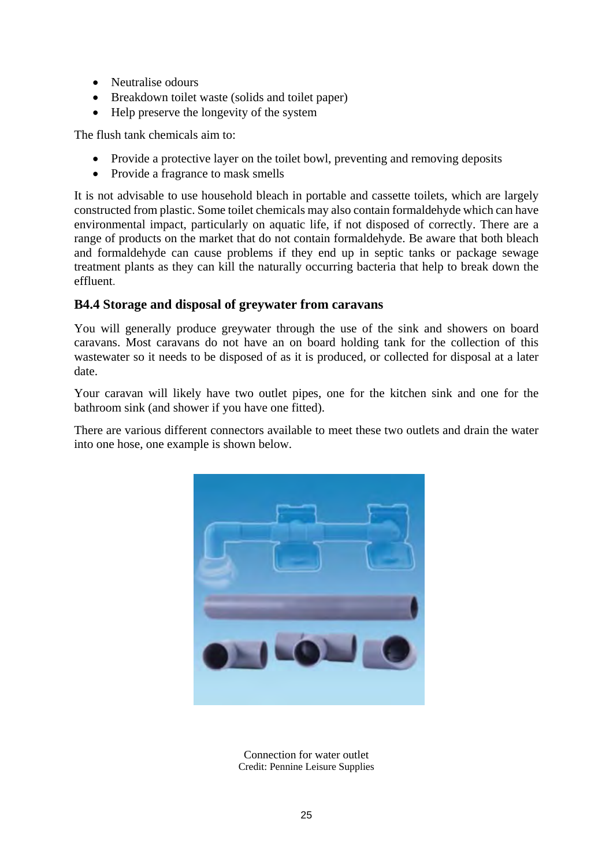- Neutralise odours
- Breakdown toilet waste (solids and toilet paper)
- Help preserve the longevity of the system

The flush tank chemicals aim to:

- Provide a protective layer on the toilet bowl, preventing and removing deposits
- Provide a fragrance to mask smells

It is not advisable to use household bleach in portable and cassette toilets, which are largely constructed from plastic. Some toilet chemicals may also contain formaldehyde which can have environmental impact, particularly on aquatic life, if not disposed of correctly. There are a range of products on the market that do not contain formaldehyde. Be aware that both bleach and formaldehyde can cause problems if they end up in septic tanks or package sewage treatment plants as they can kill the naturally occurring bacteria that help to break down the effluent.

## **B4.4 Storage and disposal of greywater from caravans**

You will generally produce greywater through the use of the sink and showers on board caravans. Most caravans do not have an on board holding tank for the collection of this wastewater so it needs to be disposed of as it is produced, or collected for disposal at a later date.

Your caravan will likely have two outlet pipes, one for the kitchen sink and one for the bathroom sink (and shower if you have one fitted).

There are various different connectors available to meet these two outlets and drain the water into one hose, one example is shown below.



Connection for water outlet Credit: Pennine Leisure Supplies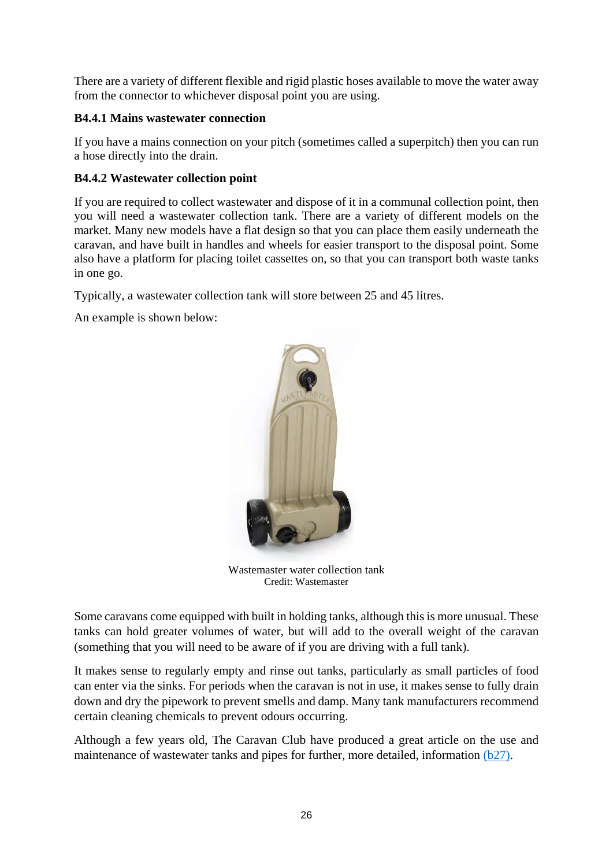There are a variety of different flexible and rigid plastic hoses available to move the water away from the connector to whichever disposal point you are using.

#### **B4.4.1 Mains wastewater connection**

If you have a mains connection on your pitch (sometimes called a superpitch) then you can run a hose directly into the drain.

#### **B4.4.2 Wastewater collection point**

If you are required to collect wastewater and dispose of it in a communal collection point, then you will need a wastewater collection tank. There are a variety of different models on the market. Many new models have a flat design so that you can place them easily underneath the caravan, and have built in handles and wheels for easier transport to the disposal point. Some also have a platform for placing toilet cassettes on, so that you can transport both waste tanks in one go.

Typically, a wastewater collection tank will store between 25 and 45 litres.

An example is shown below:



Wastemaster water collection tank Credit: Wastemaster

Some caravans come equipped with built in holding tanks, although this is more unusual. These tanks can hold greater volumes of water, but will add to the overall weight of the caravan (something that you will need to be aware of if you are driving with a full tank).

It makes sense to regularly empty and rinse out tanks, particularly as small particles of food can enter via the sinks. For periods when the caravan is not in use, it makes sense to fully drain down and dry the pipework to prevent smells and damp. Many tank manufacturers recommend certain cleaning chemicals to prevent odours occurring.

Although a few years old, The Caravan Club have produced a great article on the use and maintenance of wastewater tanks and pipes for further, more detailed, information (b27).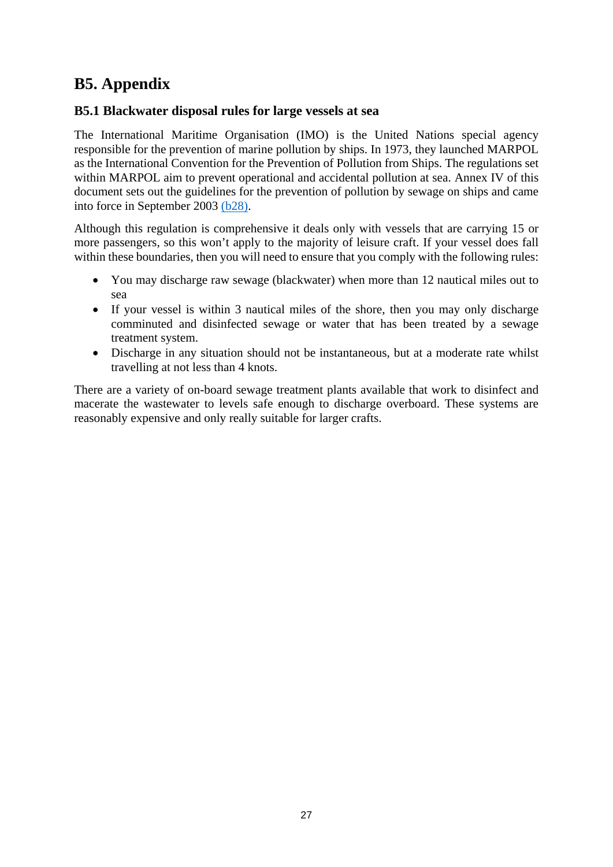## **B5. Appendix**

### **B5.1 Blackwater disposal rules for large vessels at sea**

The International Maritime Organisation (IMO) is the United Nations special agency responsible for the prevention of marine pollution by ships. In 1973, they launched MARPOL as the International Convention for the Prevention of Pollution from Ships. The regulations set within MARPOL aim to prevent operational and accidental pollution at sea. Annex IV of this document sets out the guidelines for the prevention of pollution by sewage on ships and came into force in September 2003 [\(b28\).](#page-34-0) 

Although this regulation is comprehensive it deals only with vessels that are carrying 15 or more passengers, so this won't apply to the majority of leisure craft. If your vessel does fall within these boundaries, then you will need to ensure that you comply with the following rules:

- You may discharge raw sewage (blackwater) when more than 12 nautical miles out to sea
- If your vessel is within 3 nautical miles of the shore, then you may only discharge comminuted and disinfected sewage or water that has been treated by a sewage treatment system.
- Discharge in any situation should not be instantaneous, but at a moderate rate whilst travelling at not less than 4 knots.

There are a variety of on-board sewage treatment plants available that work to disinfect and macerate the wastewater to levels safe enough to discharge overboard. These systems are reasonably expensive and only really suitable for larger crafts.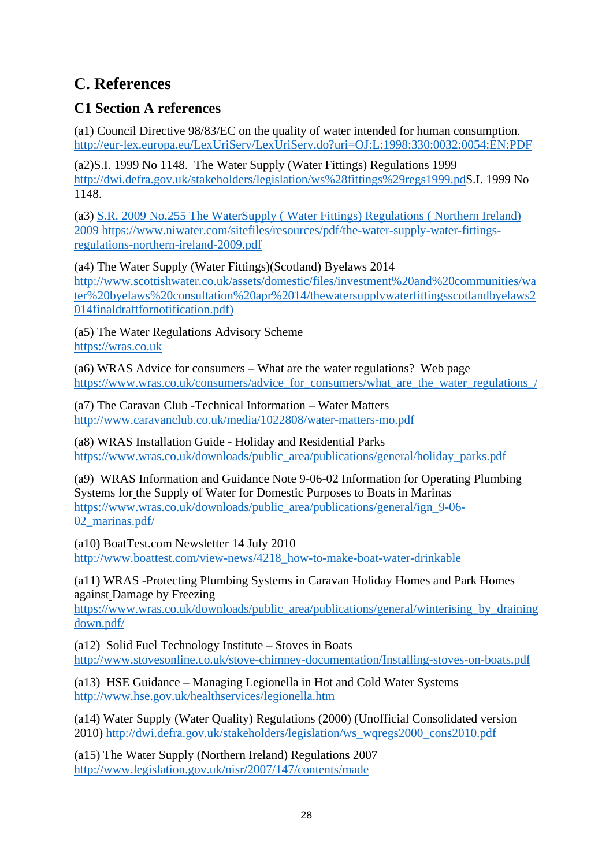## <span id="page-31-0"></span>**C. References**

## **C1 Section A references**

(a1) Council Directive 98/83/EC on the quality of water intended for human consumption. http://eur-lex.europa.eu/LexUriServ/LexUriServ.do?uri=OJ:L:1998:330:0032:0054:EN:PDF

(a2)S.I. 1999 No 1148. The Water Supply (Water Fittings) Regulations 1999 http://dwi.defra.gov.uk/stakeholders/legislation/ws%28fittings%29regs1999.pdS.I. 1999 No 1148.

(a3) S.R. 2009 No.255 The WaterSupply ( Water Fittings) Regulations ( Northern Ireland) 2009 https://www.niwater.com/sitefiles/resources/pdf/the-water-supply-water-fittingsregulations-northern-ireland-2009.pdf

(a4) The Water Supply (Water Fittings)(Scotland) Byelaws 2014 http://www.scottishwater.co.uk/assets/domestic/files/investment%20and%20communities/wa ter%20byelaws%20consultation%20apr%2014/thewatersupplywaterfittingsscotlandbyelaws2 014finaldraftfornotification.pdf)

(a5) The Water Regulations Advisory Scheme https://wras.co.uk

(a6) WRAS Advice for consumers – What are the water regulations? Web page https://www.wras.co.uk/consumers/advice\_for\_consumers/what\_are\_the\_water\_regulations\_/

(a7) The Caravan Club -Technical Information – Water Matters http://www.caravanclub.co.uk/media/1022808/water-matters-mo.pdf

(a8) WRAS Installation Guide - Holiday and Residential Parks https://www.wras.co.uk/downloads/public\_area/publications/general/holiday\_parks.pdf

(a9) WRAS Information and Guidance Note 9-06-02 Information for Operating Plumbing Systems for the Supply of Water for Domestic Purposes to Boats in Marinas https://www.wras.co.uk/downloads/public\_area/publications/general/ign\_9-06-02\_marinas.pdf/

(a10) BoatTest.com Newsletter 14 July 2010 http://www.boattest.com/view-news/4218\_how-to-make-boat-water-drinkable

(a11) WRAS -Protecting Plumbing Systems in Caravan Holiday Homes and Park Homes against Damage by Freezing

https://www.wras.co.uk/downloads/public\_area/publications/general/winterising\_by\_draining down.pdf/

(a12) Solid Fuel Technology Institute – Stoves in Boats http://www.stovesonline.co.uk/stove-chimney-documentation/Installing-stoves-on-boats.pdf

(a13) HSE Guidance – Managing Legionella in Hot and Cold Water Systems http://www.hse.gov.uk/healthservices/legionella.htm

(a14) Water Supply (Water Quality) Regulations (2000) (Unofficial Consolidated version 2010) http://dwi.defra.gov.uk/stakeholders/legislation/ws\_wqregs2000\_cons2010.pdf

(a15) The Water Supply (Northern Ireland) Regulations 2007 http://www.legislation.gov.uk/nisr/2007/147/contents/made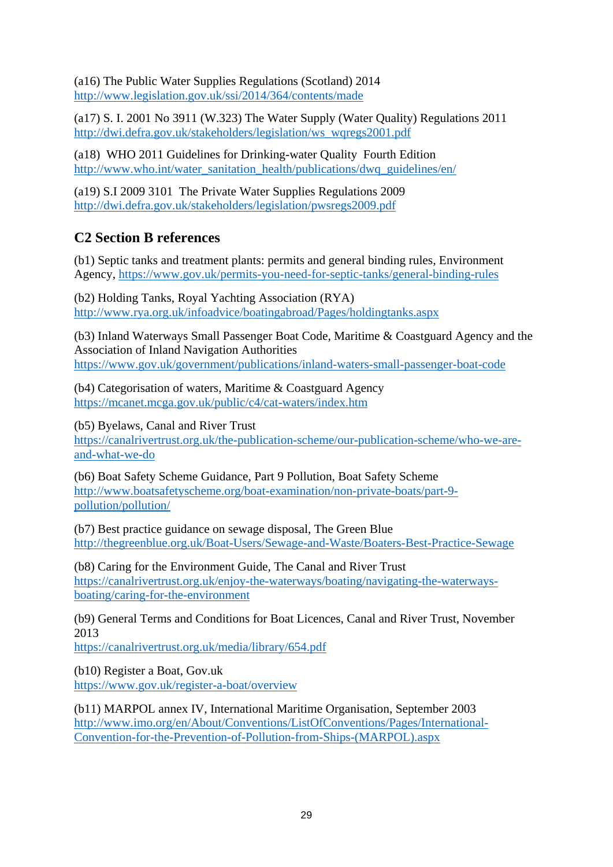<span id="page-32-0"></span>(a16) The Public Water Supplies Regulations (Scotland) 2014 http://www.legislation.gov.uk/ssi/2014/364/contents/made

(a17) S. I. 2001 No 3911 (W.323) The Water Supply (Water Quality) Regulations 2011 http://dwi.defra.gov.uk/stakeholders/legislation/ws\_wqregs2001.pdf

(a18) WHO 2011 Guidelines for Drinking-water Quality Fourth Edition http://www.who.int/water\_sanitation\_health/publications/dwq\_guidelines/en/

(a19) S.I 2009 3101 The Private Water Supplies Regulations 2009 http://dwi.defra.gov.uk/stakeholders/legislation/pwsregs2009.pdf

## **C2 Section B references**

(b1) Septic tanks and treatment plants: permits and general binding rules, Environment Agency, https://www.gov.uk/permits-you-need-for-septic-tanks/general-binding-rules

(b2) Holding Tanks, Royal Yachting Association (RYA) http://www.rya.org.uk/infoadvice/boatingabroad/Pages/holdingtanks.aspx

(b3) Inland Waterways Small Passenger Boat Code, Maritime & Coastguard Agency and the Association of Inland Navigation Authorities https://www.gov.uk/government/publications/inland-waters-small-passenger-boat-code

(b4) Categorisation of waters, Maritime & Coastguard Agency https://mcanet.mcga.gov.uk/public/c4/cat-waters/index.htm

(b5) Byelaws, Canal and River Trust

https://canalrivertrust.org.uk/the-publication-scheme/our-publication-scheme/who-we-areand-what-we-do

(b6) Boat Safety Scheme Guidance, Part 9 Pollution, Boat Safety Scheme http://www.boatsafetyscheme.org/boat-examination/non-private-boats/part-9 pollution/pollution/

(b7) Best practice guidance on sewage disposal, The Green Blue http://thegreenblue.org.uk/Boat-Users/Sewage-and-Waste/Boaters-Best-Practice-Sewage

(b8) Caring for the Environment Guide, The Canal and River Trust https://canalrivertrust.org.uk/enjoy-the-waterways/boating/navigating-the-waterwaysboating/caring-for-the-environment

(b9) General Terms and Conditions for Boat Licences, Canal and River Trust, November 2013

https://canalrivertrust.org.uk/media/library/654.pdf

(b10) Register a Boat, Gov.uk https://www.gov.uk/register-a-boat/overview

(b11) MARPOL annex IV, International Maritime Organisation, September 2003 http://www.imo.org/en/About/Conventions/ListOfConventions/Pages/International-Convention-for-the-Prevention-of-Pollution-from-Ships-(MARPOL).aspx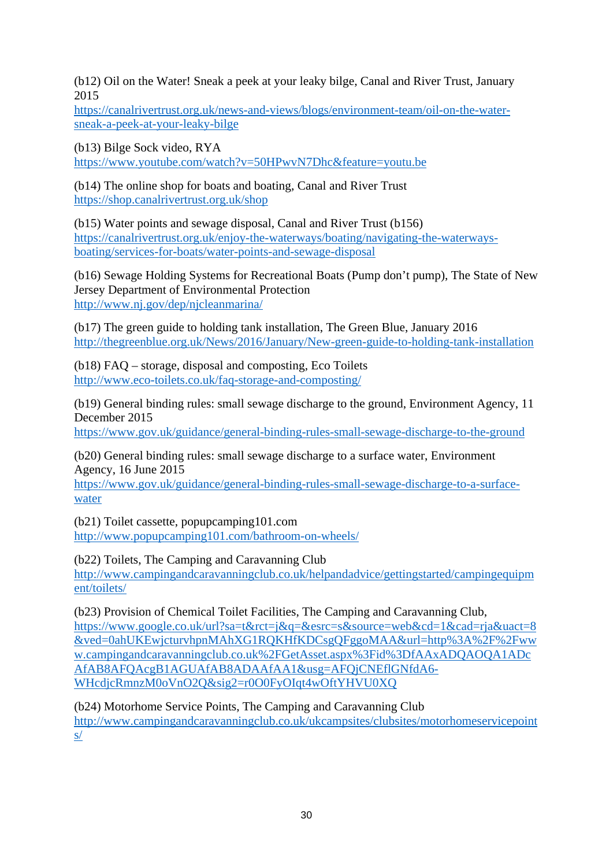<span id="page-33-0"></span>(b12) Oil on the Water! Sneak a peek at your leaky bilge, Canal and River Trust, January 2015

https://canalrivertrust.org.uk/news-and-views/blogs/environment-team/oil-on-the-watersneak-a-peek-at-your-leaky-bilge

(b13) Bilge Sock video, RYA https://www.youtube.com/watch?v=50HPwvN7Dhc&feature=youtu.be

(b14) The online shop for boats and boating, Canal and River Trust https://shop.canalrivertrust.org.uk/shop

(b15) Water points and sewage disposal, Canal and River Trust (b156) https://canalrivertrust.org.uk/enjoy-the-waterways/boating/navigating-the-waterwaysboating/services-for-boats/water-points-and-sewage-disposal

(b16) Sewage Holding Systems for Recreational Boats (Pump don't pump), The State of New Jersey Department of Environmental Protection http://www.nj.gov/dep/njcleanmarina/

(b17) The green guide to holding tank installation, The Green Blue, January 2016 http://thegreenblue.org.uk/News/2016/January/New-green-guide-to-holding-tank-installation

(b18) FAQ – storage, disposal and composting, Eco Toilets http://www.eco-toilets.co.uk/faq-storage-and-composting/

(b19) General binding rules: small sewage discharge to the ground, Environment Agency, 11 December 2015

https://www.gov.uk/guidance/general-binding-rules-small-sewage-discharge-to-the-ground

(b20) General binding rules: small sewage discharge to a surface water, Environment Agency, 16 June 2015

https://www.gov.uk/guidance/general-binding-rules-small-sewage-discharge-to-a-surfacewater

(b21) Toilet cassette, popupcamping101.com http://www.popupcamping101.com/bathroom-on-wheels/

(b22) Toilets, The Camping and Caravanning Club http://www.campingandcaravanningclub.co.uk/helpandadvice/gettingstarted/campingequipm ent/toilets/

(b23) Provision of Chemical Toilet Facilities, The Camping and Caravanning Club, https://www.google.co.uk/url?sa=t&rct=j&q=&esrc=s&source=web&cd=1&cad=rja&uact=8 &ved=0ahUKEwjcturvhpnMAhXG1RQKHfKDCsgQFggoMAA&url=http%3A%2F%2Fww w.campingandcaravanningclub.co.uk%2FGetAsset.aspx%3Fid%3DfAAxADQAOQA1ADc AfAB8AFQAcgB1AGUAfAB8ADAAfAA1&usg=AFQjCNEflGNfdA6- WHcdjcRmnzM0oVnO2Q&sig2=r0O0FyOIqt4wOftYHVU0XQ

(b24) Motorhome Service Points, The Camping and Caravanning Club http://www.campingandcaravanningclub.co.uk/ukcampsites/clubsites/motorhomeservicepoint s/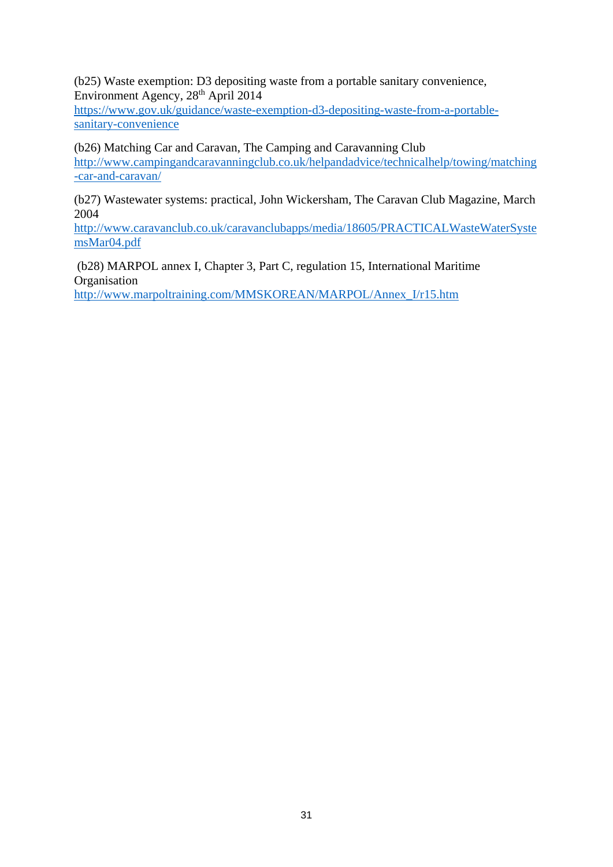<span id="page-34-0"></span>(b25) Waste exemption: D3 depositing waste from a portable sanitary convenience, Environment Agency, 28th April 2014

https://www.gov.uk/guidance/waste-exemption-d3-depositing-waste-from-a-portablesanitary-convenience

(b26) Matching Car and Caravan, The Camping and Caravanning Club http://www.campingandcaravanningclub.co.uk/helpandadvice/technicalhelp/towing/matching -car-and-caravan/

(b27) Wastewater systems: practical, John Wickersham, The Caravan Club Magazine, March 2004

http://www.caravanclub.co.uk/caravanclubapps/media/18605/PRACTICALWasteWaterSyste msMar04.pdf

 (b28) MARPOL annex I, Chapter 3, Part C, regulation 15, International Maritime **Organisation** 

http://www.marpoltraining.com/MMSKOREAN/MARPOL/Annex\_I/r15.htm